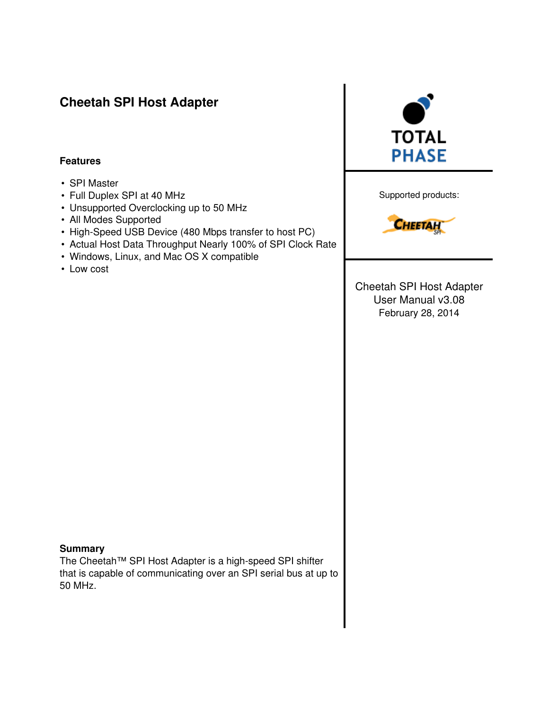# Cheetah SPI Host Adapter

#### Features

- SPI Master
- Full Duplex SPI at 40 MHz
- Unsupported Overclocking up to 50 MHz
- All Modes Supported
- High-Speed USB Device (480 Mbps transfer to host PC)
- Actual Host Data Throughput Nearly 100% of SPI Clock Rate
- Windows, Linux, and Mac OS X compatible
- Low cost



Supported products:



Cheetah SPI Host Adapter User Manual v3.08 February 28, 2014

#### **Summary**

The Cheetah™ SPI Host Adapter is a high-speed SPI shifter that is capable of communicating over an SPI serial bus at up to 50 MHz.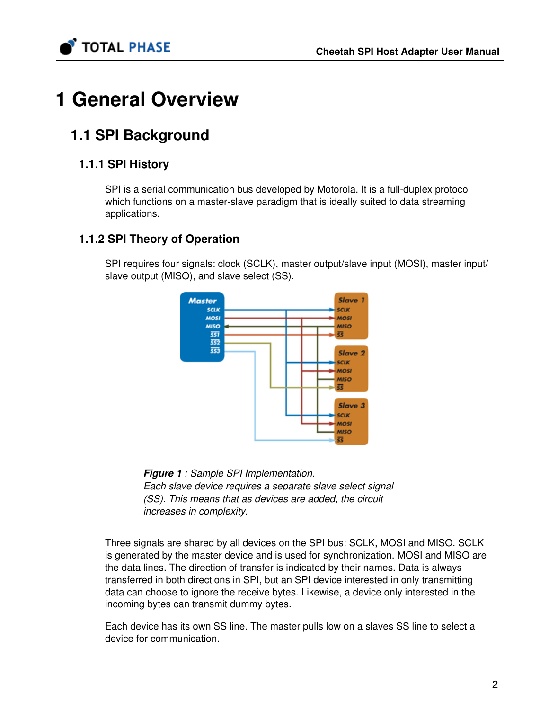

# 1 General Overview

# 1.1 SPI Background

# 1.1.1 SPI History

SPI is a serial communication bus developed by Motorola. It is a full-duplex protocol which functions on a master-slave paradigm that is ideally suited to data streaming applications.

## 1.1.2 SPI Theory of Operation

SPI requires four signals: clock (SCLK), master output/slave input (MOSI), master input/ slave output (MISO), and slave select (SS).



**Figure 1** : Sample SPI Implementation. Each slave device requires a separate slave select signal (SS). This means that as devices are added, the circuit increases in complexity.

Three signals are shared by all devices on the SPI bus: SCLK, MOSI and MISO. SCLK is generated by the master device and is used for synchronization. MOSI and MISO are the data lines. The direction of transfer is indicated by their names. Data is always transferred in both directions in SPI, but an SPI device interested in only transmitting data can choose to ignore the receive bytes. Likewise, a device only interested in the incoming bytes can transmit dummy bytes.

Each device has its own SS line. The master pulls low on a slaves SS line to select a device for communication.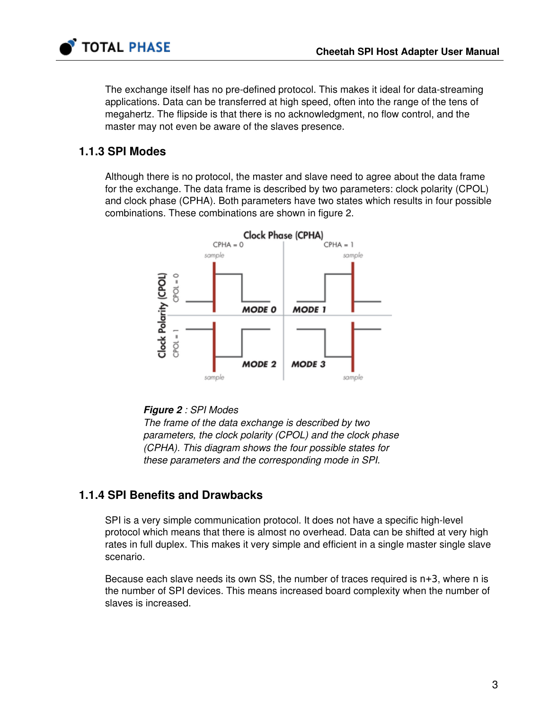

## 1.1.3 SPI Modes

**TOTAL PHASE** 

<span id="page-2-0"></span>Although there is no protocol, the master and slave need to agree about the data frame for the exchange. The data frame is described by two parameters: clock polarity (CPOL) and clock phase (CPHA). Both parameters have two states which results in four possible combinations. These combinations are shown in figure [2.](#page-2-0)



#### Figure 2 : SPI Modes

The frame of the data exchange is described by two parameters, the clock polarity (CPOL) and the clock phase (CPHA). This diagram shows the four possible states for these parameters and the corresponding mode in SPI.

## 1.1.4 SPI Benefits and Drawbacks

SPI is a very simple communication protocol. It does not have a specific high-level protocol which means that there is almost no overhead. Data can be shifted at very high rates in full duplex. This makes it very simple and efficient in a single master single slave scenario.

Because each slave needs its own SS, the number of traces required is n+3, where n is the number of SPI devices. This means increased board complexity when the number of slaves is increased.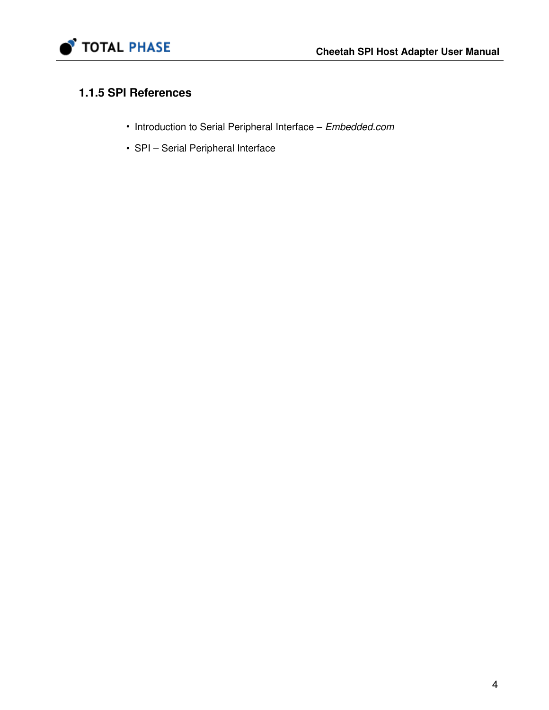

# 1.1.5 SPI References

- [Introduction to Serial Peripheral Interface](http://www.embedded.com/story/OEG20020124S0116) Embedded.com
- • [SPI Serial Peripheral Interface](http://www.mct.net/faq/spi.html)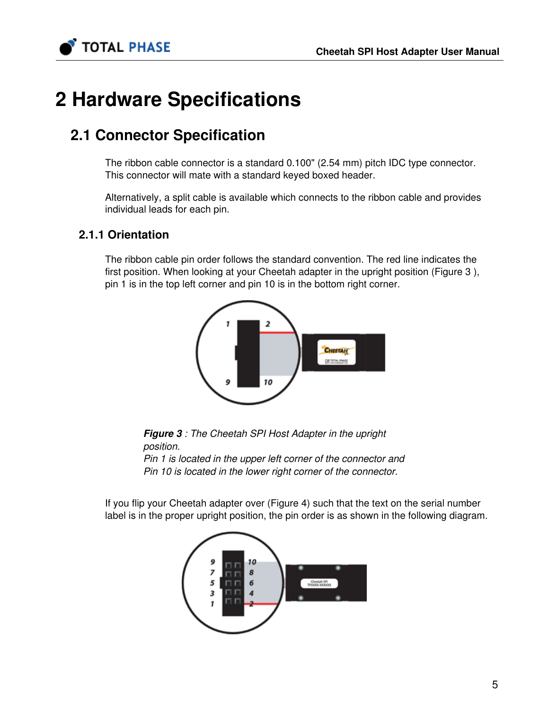

# 2 Hardware Specifications

# 2.1 Connector Specification

The ribbon cable connector is a standard 0.100" (2.54 mm) pitch IDC type connector. This connector will mate with a standard keyed boxed header.

Alternatively, a split cable is available which connects to the ribbon cable and provides individual leads for each pin.

## 2.1.1 Orientation

<span id="page-4-0"></span>The ribbon cable pin order follows the standard convention. The red line indicates the first position. When looking at your Cheetah adapter in the upright position (Figure [3](#page-4-0) ), pin 1 is in the top left corner and pin 10 is in the bottom right corner.



**Figure 3** : The Cheetah SPI Host Adapter in the upright position.

Pin 1 is located in the upper left corner of the connector and Pin 10 is located in the lower right corner of the connector.

<span id="page-4-1"></span>If you flip your Cheetah adapter over (Figure [4](#page-4-1)) such that the text on the serial number label is in the proper upright position, the pin order is as shown in the following diagram.

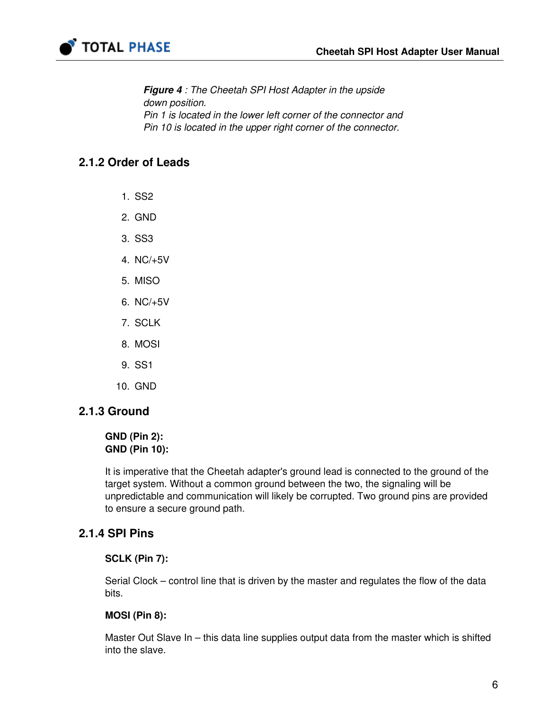

**Figure 4** : The Cheetah SPI Host Adapter in the upside down position. Pin 1 is located in the lower left corner of the connector and Pin 10 is located in the upper right corner of the connector.

## 2.1.2 Order of Leads

- 1. SS2
- 2. GND
- 3. SS3
- 4. NC/+5V
- 5. MISO
- 6. NC/+5V
- 7. SCLK
- 8. MOSI
- 9. SS1
- 10. GND

#### 2.1.3 Ground

#### GND (Pin 2): GND (Pin 10):

It is imperative that the Cheetah adapter's ground lead is connected to the ground of the target system. Without a common ground between the two, the signaling will be unpredictable and communication will likely be corrupted. Two ground pins are provided to ensure a secure ground path.

#### 2.1.4 SPI Pins

#### SCLK (Pin 7):

Serial Clock – control line that is driven by the master and regulates the flow of the data bits.

#### MOSI (Pin 8):

Master Out Slave In – this data line supplies output data from the master which is shifted into the slave.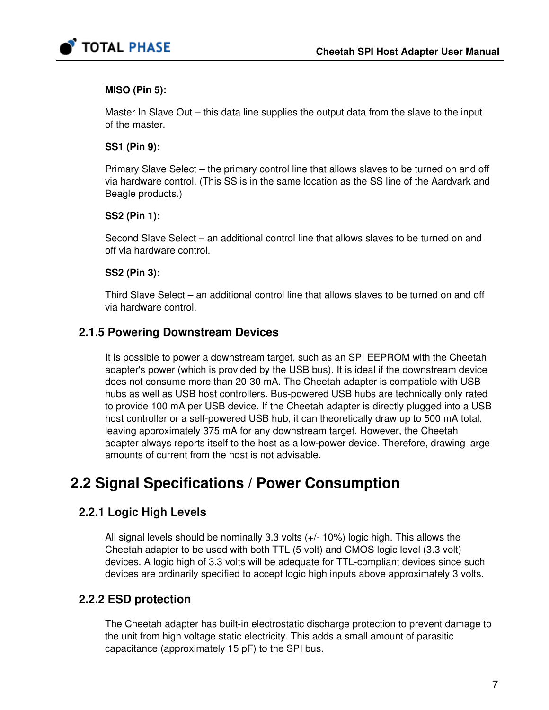

#### MISO (Pin 5):

Master In Slave Out – this data line supplies the output data from the slave to the input of the master.

#### SS1 (Pin 9):

Primary Slave Select – the primary control line that allows slaves to be turned on and off via hardware control. (This SS is in the same location as the SS line of the Aardvark and Beagle products.)

#### SS2 (Pin 1):

Second Slave Select – an additional control line that allows slaves to be turned on and off via hardware control.

#### SS2 (Pin 3):

Third Slave Select – an additional control line that allows slaves to be turned on and off via hardware control.

## 2.1.5 Powering Downstream Devices

It is possible to power a downstream target, such as an SPI EEPROM with the Cheetah adapter's power (which is provided by the USB bus). It is ideal if the downstream device does not consume more than 20-30 mA. The Cheetah adapter is compatible with USB hubs as well as USB host controllers. Bus-powered USB hubs are technically only rated to provide 100 mA per USB device. If the Cheetah adapter is directly plugged into a USB host controller or a self-powered USB hub, it can theoretically draw up to 500 mA total, leaving approximately 375 mA for any downstream target. However, the Cheetah adapter always reports itself to the host as a low-power device. Therefore, drawing large amounts of current from the host is not advisable.

# 2.2 Signal Specifications / Power Consumption

## 2.2.1 Logic High Levels

All signal levels should be nominally 3.3 volts (+/- 10%) logic high. This allows the Cheetah adapter to be used with both TTL (5 volt) and CMOS logic level (3.3 volt) devices. A logic high of 3.3 volts will be adequate for TTL-compliant devices since such devices are ordinarily specified to accept logic high inputs above approximately 3 volts.

## 2.2.2 ESD protection

The Cheetah adapter has built-in electrostatic discharge protection to prevent damage to the unit from high voltage static electricity. This adds a small amount of parasitic capacitance (approximately 15 pF) to the SPI bus.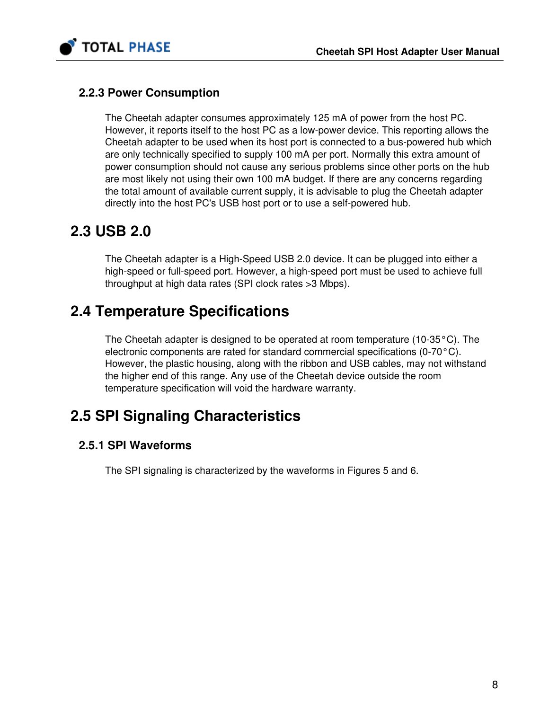

## 2.2.3 Power Consumption

The Cheetah adapter consumes approximately 125 mA of power from the host PC. However, it reports itself to the host PC as a low-power device. This reporting allows the Cheetah adapter to be used when its host port is connected to a bus-powered hub which are only technically specified to supply 100 mA per port. Normally this extra amount of power consumption should not cause any serious problems since other ports on the hub are most likely not using their own 100 mA budget. If there are any concerns regarding the total amount of available current supply, it is advisable to plug the Cheetah adapter directly into the host PC's USB host port or to use a self-powered hub.

# 2.3 USB 2.0

The Cheetah adapter is a High-Speed USB 2.0 device. It can be plugged into either a high-speed or full-speed port. However, a high-speed port must be used to achieve full throughput at high data rates (SPI clock rates >3 Mbps).

# 2.4 Temperature Specifications

The Cheetah adapter is designed to be operated at room temperature (10-35°C). The electronic components are rated for standard commercial specifications (0-70°C). However, the plastic housing, along with the ribbon and USB cables, may not withstand the higher end of this range. Any use of the Cheetah device outside the room temperature specification will void the hardware warranty.

# 2.5 SPI Signaling Characteristics

## 2.5.1 SPI Waveforms

The SPI signaling is characterized by the waveforms in Figures [5](#page-8-0) and [6](#page-8-1).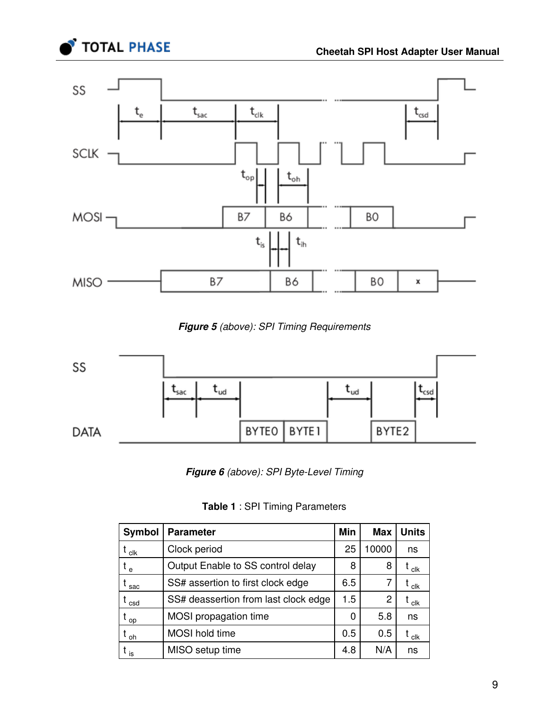

<span id="page-8-0"></span>

**Figure 5** (above): SPI Timing Requirements

<span id="page-8-1"></span>

Figure 6 (above): SPI Byte-Level Timing

Table 1 : SPI Timing Parameters

| Symbol             | <b>Parameter</b>                     | Min | <b>Max</b> | <b>Units</b>             |
|--------------------|--------------------------------------|-----|------------|--------------------------|
| $t_{\mathsf{clk}}$ | Clock period                         | 25  | 10000      | ns                       |
| $t_e$              | Output Enable to SS control delay    | 8   | 8          | $t_{\rm \,clk}$          |
| t <sub>sac</sub>   | SS# assertion to first clock edge    | 6.5 | 7          | t <sub>clk</sub>         |
| $t_{\sf \, csd}$   | SS# deassertion from last clock edge | 1.5 | 2          | $t_{\rm \,c\textsc{lk}}$ |
| $t_{op}$           | MOSI propagation time                | 0   | 5.8        | ns                       |
| t <sub>oh</sub>    | <b>MOSI</b> hold time                | 0.5 | 0.5        | $t_{\mathsf{clk}}$       |
| $t_{\rm is}$       | MISO setup time                      | 4.8 | N/A        | ns                       |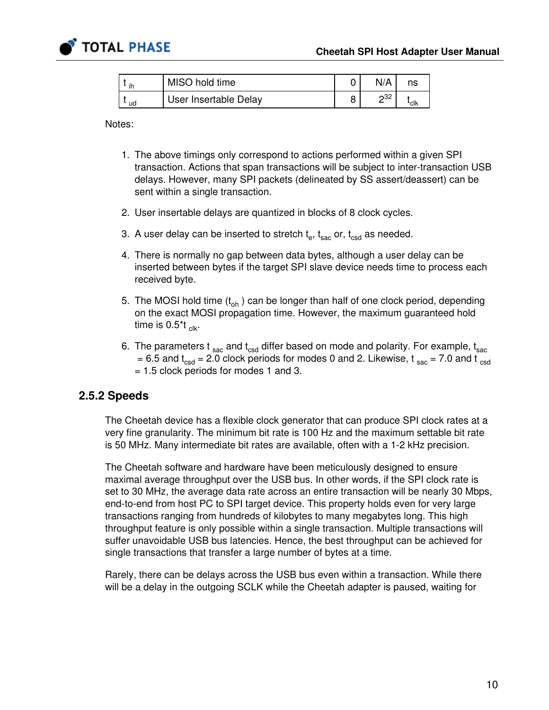

| ih | MISO hold time        | N/A            | ns   |
|----|-----------------------|----------------|------|
| ud | User Insertable Delay | 2 <sub>0</sub> | 'clk |

Notes:

- 1. The above timings only correspond to actions performed within a given SPI transaction. Actions that span transactions will be subject to inter-transaction USB delays. However, many SPI packets (delineated by SS assert/deassert) can be sent within a single transaction.
- 2. User insertable delays are quantized in blocks of 8 clock cycles.
- 3. A user delay can be inserted to stretch  $\mathsf{t}_\mathsf{e},\,\mathsf{t}_\mathsf{sac}$  or,  $\mathsf{t}_\mathsf{csd}$  as needed.
- 4. There is normally no gap between data bytes, although a user delay can be inserted between bytes if the target SPI slave device needs time to process each received byte.
- 5. The MOSI hold time (t<sub>oh</sub> ) can be longer than half of one clock period, depending on the exact MOSI propagation time. However, the maximum guaranteed hold time is 0.5\*t <sub>clk</sub>.
- 6. The parameters t  $_{\rm sac}$  and  $\rm t_{csd}$  differ based on mode and polarity. For example,  $\rm t_{sac}$ = 6.5 and  $t_{\text{csd}}$  = 2.0 clock periods for modes 0 and 2. Likewise,  $t_{\text{sac}}$  = 7.0 and  $t_{\text{csd}}$ = 1.5 clock periods for modes 1 and 3.

### 2.5.2 Speeds

The Cheetah device has a flexible clock generator that can produce SPI clock rates at a very fine granularity. The minimum bit rate is 100 Hz and the maximum settable bit rate is 50 MHz. Many intermediate bit rates are available, often with a 1-2 kHz precision.

The Cheetah software and hardware have been meticulously designed to ensure maximal average throughput over the USB bus. In other words, if the SPI clock rate is set to 30 MHz, the average data rate across an entire transaction will be nearly 30 Mbps, end-to-end from host PC to SPI target device. This property holds even for very large transactions ranging from hundreds of kilobytes to many megabytes long. This high throughput feature is only possible within a single transaction. Multiple transactions will suffer unavoidable USB bus latencies. Hence, the best throughput can be achieved for single transactions that transfer a large number of bytes at a time.

Rarely, there can be delays across the USB bus even within a transaction. While there will be a delay in the outgoing SCLK while the Cheetah adapter is paused, waiting for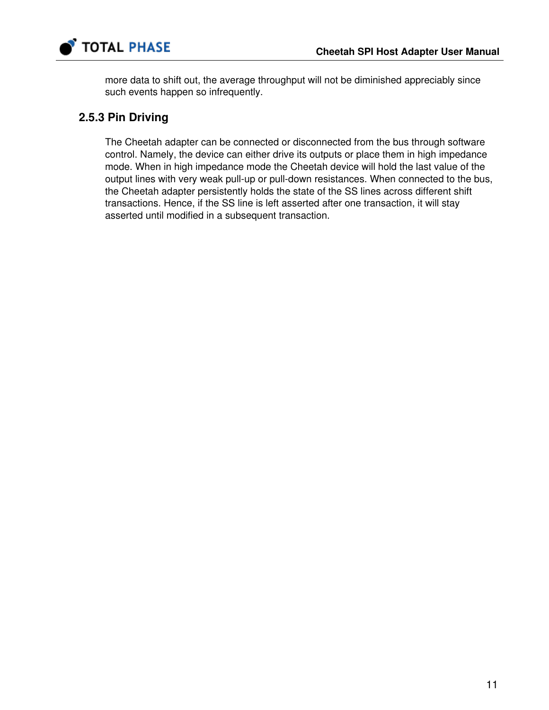

more data to shift out, the average throughput will not be diminished appreciably since such events happen so infrequently.

## 2.5.3 Pin Driving

The Cheetah adapter can be connected or disconnected from the bus through software control. Namely, the device can either drive its outputs or place them in high impedance mode. When in high impedance mode the Cheetah device will hold the last value of the output lines with very weak pull-up or pull-down resistances. When connected to the bus, the Cheetah adapter persistently holds the state of the SS lines across different shift transactions. Hence, if the SS line is left asserted after one transaction, it will stay asserted until modified in a subsequent transaction.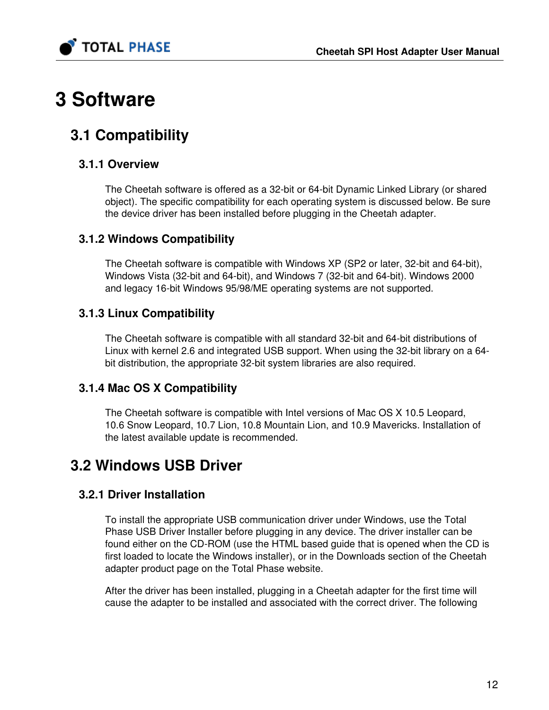

# 3 Software

# 3.1 Compatibility

## 3.1.1 Overview

The Cheetah software is offered as a 32-bit or 64-bit Dynamic Linked Library (or shared object). The specific compatibility for each operating system is discussed below. Be sure the device driver has been installed before plugging in the Cheetah adapter.

## 3.1.2 Windows Compatibility

The Cheetah software is compatible with Windows XP (SP2 or later, 32-bit and 64-bit), Windows Vista (32-bit and 64-bit), and Windows 7 (32-bit and 64-bit). Windows 2000 and legacy 16-bit Windows 95/98/ME operating systems are not supported.

# 3.1.3 Linux Compatibility

The Cheetah software is compatible with all standard 32-bit and 64-bit distributions of Linux with kernel 2.6 and integrated USB support. When using the 32-bit library on a 64 bit distribution, the appropriate 32-bit system libraries are also required.

# 3.1.4 Mac OS X Compatibility

The Cheetah software is compatible with Intel versions of Mac OS X 10.5 Leopard, 10.6 Snow Leopard, 10.7 Lion, 10.8 Mountain Lion, and 10.9 Mavericks. Installation of the latest available update is recommended.

# 3.2 Windows USB Driver

# 3.2.1 Driver Installation

To install the appropriate USB communication driver under Windows, use the Total Phase USB Driver Installer before plugging in any device. The driver installer can be found either on the CD-ROM (use the HTML based guide that is opened when the CD is first loaded to locate the Windows installer), or in the Downloads section of the Cheetah adapter product page on the Total Phase website.

After the driver has been installed, plugging in a Cheetah adapter for the first time will cause the adapter to be installed and associated with the correct driver. The following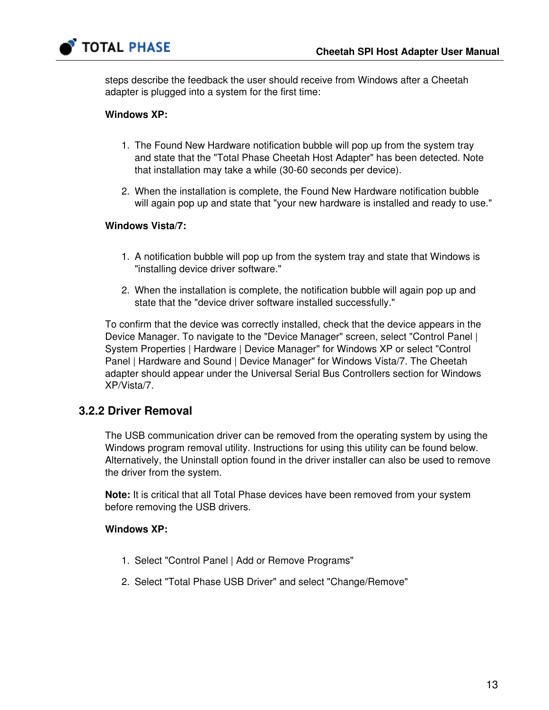

steps describe the feedback the user should receive from Windows after a Cheetah adapter is plugged into a system for the first time:

#### Windows XP:

- 1. The Found New Hardware notification bubble will pop up from the system tray and state that the "Total Phase Cheetah Host Adapter" has been detected. Note that installation may take a while (30-60 seconds per device).
- 2. When the installation is complete, the Found New Hardware notification bubble will again pop up and state that "your new hardware is installed and ready to use."

#### Windows Vista/7:

- 1. A notification bubble will pop up from the system tray and state that Windows is "installing device driver software."
- 2. When the installation is complete, the notification bubble will again pop up and state that the "device driver software installed successfully."

To confirm that the device was correctly installed, check that the device appears in the Device Manager. To navigate to the "Device Manager" screen, select "Control Panel | System Properties | Hardware | Device Manager" for Windows XP or select "Control Panel | Hardware and Sound | Device Manager" for Windows Vista/7. The Cheetah adapter should appear under the Universal Serial Bus Controllers section for Windows XP/Vista/7.

### 3.2.2 Driver Removal

The USB communication driver can be removed from the operating system by using the Windows program removal utility. Instructions for using this utility can be found below. Alternatively, the Uninstall option found in the driver installer can also be used to remove the driver from the system.

Note: It is critical that all Total Phase devices have been removed from your system before removing the USB drivers.

#### Windows XP:

- 1. Select "Control Panel | Add or Remove Programs"
- 2. Select "Total Phase USB Driver" and select "Change/Remove"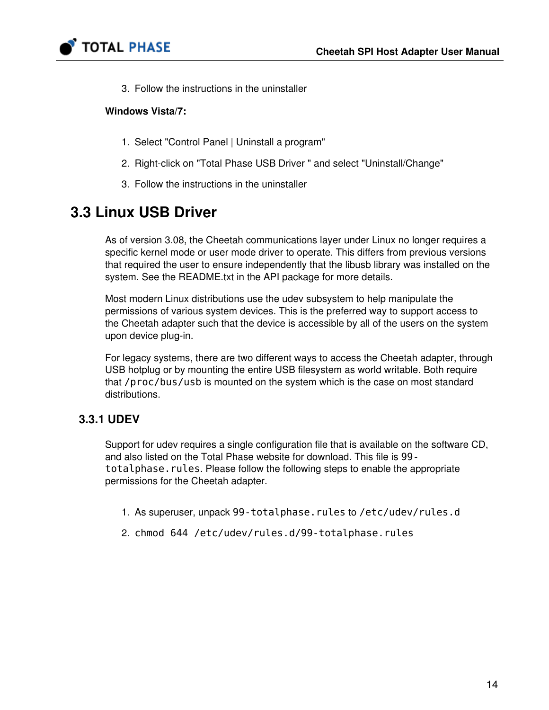

3. Follow the instructions in the uninstaller

#### Windows Vista/7:

- 1. Select "Control Panel | Uninstall a program"
- 2. Right-click on "Total Phase USB Driver " and select "Uninstall/Change"
- 3. Follow the instructions in the uninstaller

# 3.3 Linux USB Driver

As of version 3.08, the Cheetah communications layer under Linux no longer requires a specific kernel mode or user mode driver to operate. This differs from previous versions that required the user to ensure independently that the libusb library was installed on the system. See the README.txt in the API package for more details.

Most modern Linux distributions use the udev subsystem to help manipulate the permissions of various system devices. This is the preferred way to support access to the Cheetah adapter such that the device is accessible by all of the users on the system upon device plug-in.

For legacy systems, there are two different ways to access the Cheetah adapter, through USB hotplug or by mounting the entire USB filesystem as world writable. Both require that /proc/bus/usb is mounted on the system which is the case on most standard distributions.

## 3.3.1 UDEV

Support for udev requires a single configuration file that is available on the software CD, and also listed on the Total Phase website for download. This file is 99 totalphase. rules. Please follow the following steps to enable the appropriate permissions for the Cheetah adapter.

- 1. As superuser, unpack 99-totalphase.rules to /etc/udev/rules.d
- 2. chmod 644 /etc/udev/rules.d/99-totalphase.rules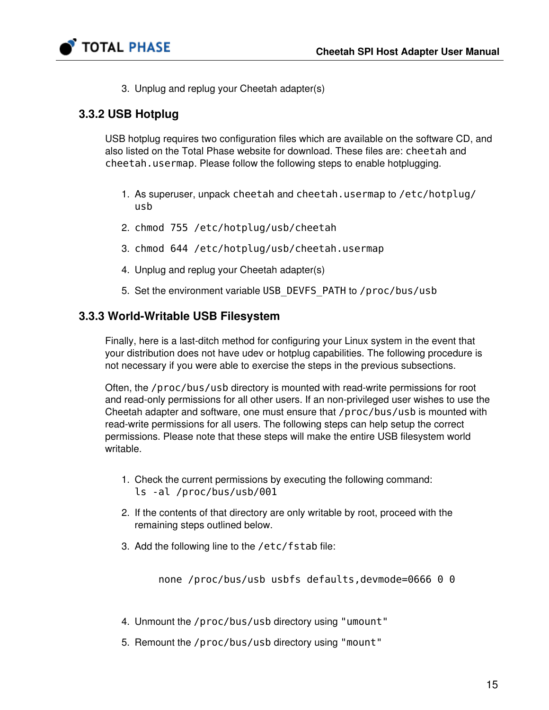

3. Unplug and replug your Cheetah adapter(s)

## 3.3.2 USB Hotplug

USB hotplug requires two configuration files which are available on the software CD, and also listed on the Total Phase website for download. These files are: cheetah and cheetah.usermap. Please follow the following steps to enable hotplugging.

- 1. As superuser, unpack cheetah and cheetah.usermap to /etc/hotplug/ usb
- 2. chmod 755 /etc/hotplug/usb/cheetah
- 3. chmod 644 /etc/hotplug/usb/cheetah.usermap
- 4. Unplug and replug your Cheetah adapter(s)
- 5. Set the environment variable USB\_DEVFS\_PATH to /proc/bus/usb

#### 3.3.3 World-Writable USB Filesystem

Finally, here is a last-ditch method for configuring your Linux system in the event that your distribution does not have udev or hotplug capabilities. The following procedure is not necessary if you were able to exercise the steps in the previous subsections.

Often, the /proc/bus/usb directory is mounted with read-write permissions for root and read-only permissions for all other users. If an non-privileged user wishes to use the Cheetah adapter and software, one must ensure that /proc/bus/usb is mounted with read-write permissions for all users. The following steps can help setup the correct permissions. Please note that these steps will make the entire USB filesystem world writable.

- 1. Check the current permissions by executing the following command: ls -al /proc/bus/usb/001
- 2. If the contents of that directory are only writable by root, proceed with the remaining steps outlined below.
- 3. Add the following line to the /etc/fstab file:

none /proc/bus/usb usbfs defaults,devmode=0666 0 0

- 4. Unmount the /proc/bus/usb directory using "umount"
- 5. Remount the /proc/bus/usb directory using "mount"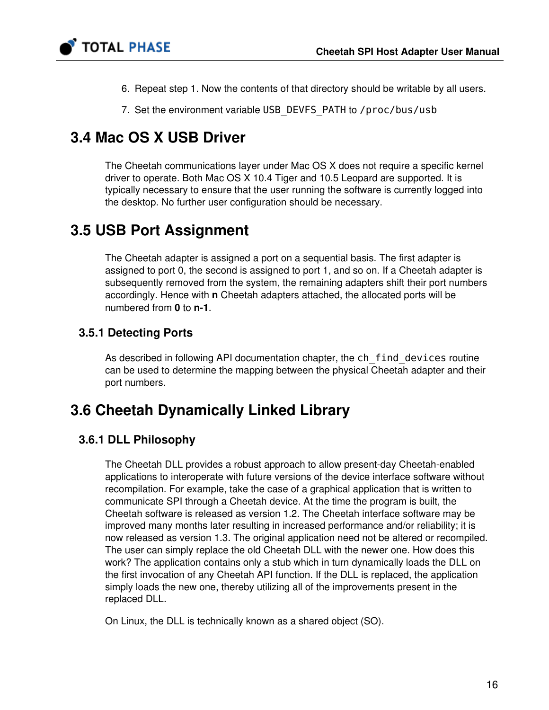

- 6. Repeat step 1. Now the contents of that directory should be writable by all users.
- 7. Set the environment variable USB\_DEVFS\_PATH to /proc/bus/usb

# 3.4 Mac OS X USB Driver

The Cheetah communications layer under Mac OS X does not require a specific kernel driver to operate. Both Mac OS X 10.4 Tiger and 10.5 Leopard are supported. It is typically necessary to ensure that the user running the software is currently logged into the desktop. No further user configuration should be necessary.

# 3.5 USB Port Assignment

The Cheetah adapter is assigned a port on a sequential basis. The first adapter is assigned to port 0, the second is assigned to port 1, and so on. If a Cheetah adapter is subsequently removed from the system, the remaining adapters shift their port numbers accordingly. Hence with n Cheetah adapters attached, the allocated ports will be numbered from 0 to n-1.

## 3.5.1 Detecting Ports

As described in following API documentation chapter, the ch\_find\_devices routine can be used to determine the mapping between the physical Cheetah adapter and their port numbers.

# 3.6 Cheetah Dynamically Linked Library

## 3.6.1 DLL Philosophy

The Cheetah DLL provides a robust approach to allow present-day Cheetah-enabled applications to interoperate with future versions of the device interface software without recompilation. For example, take the case of a graphical application that is written to communicate SPI through a Cheetah device. At the time the program is built, the Cheetah software is released as version 1.2. The Cheetah interface software may be improved many months later resulting in increased performance and/or reliability; it is now released as version 1.3. The original application need not be altered or recompiled. The user can simply replace the old Cheetah DLL with the newer one. How does this work? The application contains only a stub which in turn dynamically loads the DLL on the first invocation of any Cheetah API function. If the DLL is replaced, the application simply loads the new one, thereby utilizing all of the improvements present in the replaced DLL.

On Linux, the DLL is technically known as a shared object (SO).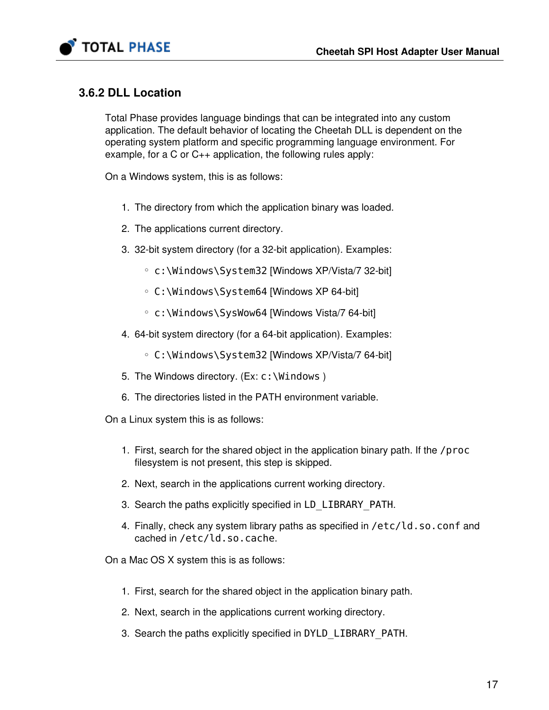

## 3.6.2 DLL Location

Total Phase provides language bindings that can be integrated into any custom application. The default behavior of locating the Cheetah DLL is dependent on the operating system platform and specific programming language environment. For example, for a C or C++ application, the following rules apply:

On a Windows system, this is as follows:

- 1. The directory from which the application binary was loaded.
- 2. The applications current directory.
- 3. 32-bit system directory (for a 32-bit application). Examples:
	- c:\Windows\System32 [Windows XP/Vista/7 32-bit]
	- C:\Windows\System64 [Windows XP 64-bit]
	- c:\Windows\SysWow64 [Windows Vista/7 64-bit]
- 4. 64-bit system directory (for a 64-bit application). Examples:
	- C:\Windows\System32 [Windows XP/Vista/7 64-bit]
- 5. The Windows directory. (Ex: c:\Windows )
- 6. The directories listed in the PATH environment variable.

On a Linux system this is as follows:

- 1. First, search for the shared object in the application binary path. If the /proc filesystem is not present, this step is skipped.
- 2. Next, search in the applications current working directory.
- 3. Search the paths explicitly specified in LD\_LIBRARY\_PATH.
- 4. Finally, check any system library paths as specified in /etc/ld.so.conf and cached in /etc/ld.so.cache.

On a Mac OS X system this is as follows:

- 1. First, search for the shared object in the application binary path.
- 2. Next, search in the applications current working directory.
- 3. Search the paths explicitly specified in DYLD\_LIBRARY\_PATH.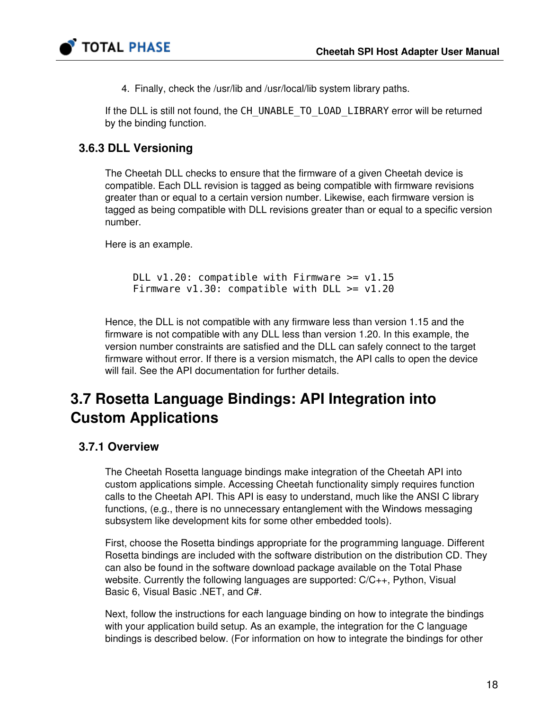

4. Finally, check the /usr/lib and /usr/local/lib system library paths.

If the DLL is still not found, the CH\_UNABLE\_TO\_LOAD\_LIBRARY error will be returned by the binding function.

# 3.6.3 DLL Versioning

The Cheetah DLL checks to ensure that the firmware of a given Cheetah device is compatible. Each DLL revision is tagged as being compatible with firmware revisions greater than or equal to a certain version number. Likewise, each firmware version is tagged as being compatible with DLL revisions greater than or equal to a specific version number.

Here is an example.

DLL  $v1.20$ : compatible with Firmware  $>= v1.15$ Firmware  $v1.30$ : compatible with DLL  $>= v1.20$ 

Hence, the DLL is not compatible with any firmware less than version 1.15 and the firmware is not compatible with any DLL less than version 1.20. In this example, the version number constraints are satisfied and the DLL can safely connect to the target firmware without error. If there is a version mismatch, the API calls to open the device will fail. See the API documentation for further details.

# 3.7 Rosetta Language Bindings: API Integration into Custom Applications

# 3.7.1 Overview

The Cheetah Rosetta language bindings make integration of the Cheetah API into custom applications simple. Accessing Cheetah functionality simply requires function calls to the Cheetah API. This API is easy to understand, much like the ANSI C library functions, (e.g., there is no unnecessary entanglement with the Windows messaging subsystem like development kits for some other embedded tools).

First, choose the Rosetta bindings appropriate for the programming language. Different Rosetta bindings are included with the software distribution on the distribution CD. They can also be found in the software download package available on the Total Phase website. Currently the following languages are supported: C/C++, Python, Visual Basic 6, Visual Basic .NET, and C#.

Next, follow the instructions for each language binding on how to integrate the bindings with your application build setup. As an example, the integration for the C language bindings is described below. (For information on how to integrate the bindings for other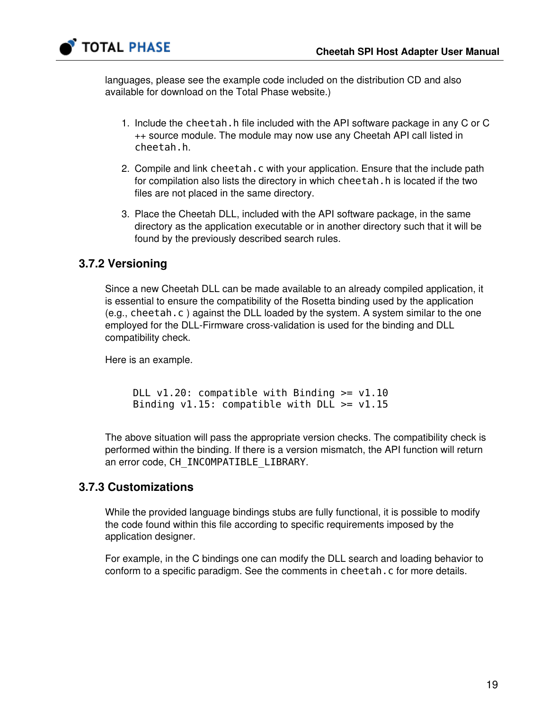

languages, please see the example code included on the distribution CD and also available for download on the Total Phase website.)

- 1. Include the cheetah.h file included with the API software package in any C or C ++ source module. The module may now use any Cheetah API call listed in cheetah.h.
- 2. Compile and link cheetah.c with your application. Ensure that the include path for compilation also lists the directory in which cheetah. h is located if the two files are not placed in the same directory.
- 3. Place the Cheetah DLL, included with the API software package, in the same directory as the application executable or in another directory such that it will be found by the previously described search rules.

## 3.7.2 Versioning

Since a new Cheetah DLL can be made available to an already compiled application, it is essential to ensure the compatibility of the Rosetta binding used by the application (e.g., cheetah.c ) against the DLL loaded by the system. A system similar to the one employed for the DLL-Firmware cross-validation is used for the binding and DLL compatibility check.

Here is an example.

DLL  $v1.20$ : compatible with Binding  $>= v1.10$ Binding  $v1.15$ : compatible with DLL  $\geq$  v1.15

The above situation will pass the appropriate version checks. The compatibility check is performed within the binding. If there is a version mismatch, the API function will return an error code, CH\_INCOMPATIBLE\_LIBRARY.

### 3.7.3 Customizations

While the provided language bindings stubs are fully functional, it is possible to modify the code found within this file according to specific requirements imposed by the application designer.

For example, in the C bindings one can modify the DLL search and loading behavior to conform to a specific paradigm. See the comments in cheetah.c for more details.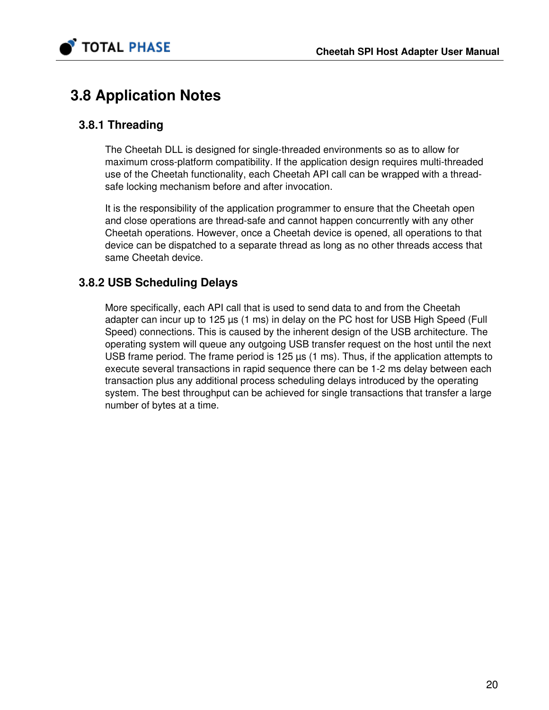

# 3.8 Application Notes

## 3.8.1 Threading

The Cheetah DLL is designed for single-threaded environments so as to allow for maximum cross-platform compatibility. If the application design requires multi-threaded use of the Cheetah functionality, each Cheetah API call can be wrapped with a threadsafe locking mechanism before and after invocation.

It is the responsibility of the application programmer to ensure that the Cheetah open and close operations are thread-safe and cannot happen concurrently with any other Cheetah operations. However, once a Cheetah device is opened, all operations to that device can be dispatched to a separate thread as long as no other threads access that same Cheetah device.

## 3.8.2 USB Scheduling Delays

More specifically, each API call that is used to send data to and from the Cheetah adapter can incur up to 125 µs (1 ms) in delay on the PC host for USB High Speed (Full Speed) connections. This is caused by the inherent design of the USB architecture. The operating system will queue any outgoing USB transfer request on the host until the next USB frame period. The frame period is 125  $\mu$ s (1 ms). Thus, if the application attempts to execute several transactions in rapid sequence there can be 1-2 ms delay between each transaction plus any additional process scheduling delays introduced by the operating system. The best throughput can be achieved for single transactions that transfer a large number of bytes at a time.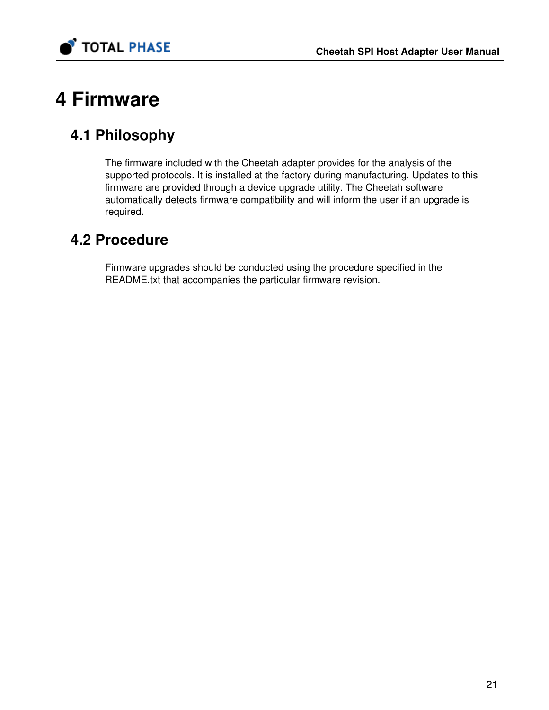

# 4 Firmware

# 4.1 Philosophy

The firmware included with the Cheetah adapter provides for the analysis of the supported protocols. It is installed at the factory during manufacturing. Updates to this firmware are provided through a device upgrade utility. The Cheetah software automatically detects firmware compatibility and will inform the user if an upgrade is required.

# 4.2 Procedure

Firmware upgrades should be conducted using the procedure specified in the README.txt that accompanies the particular firmware revision.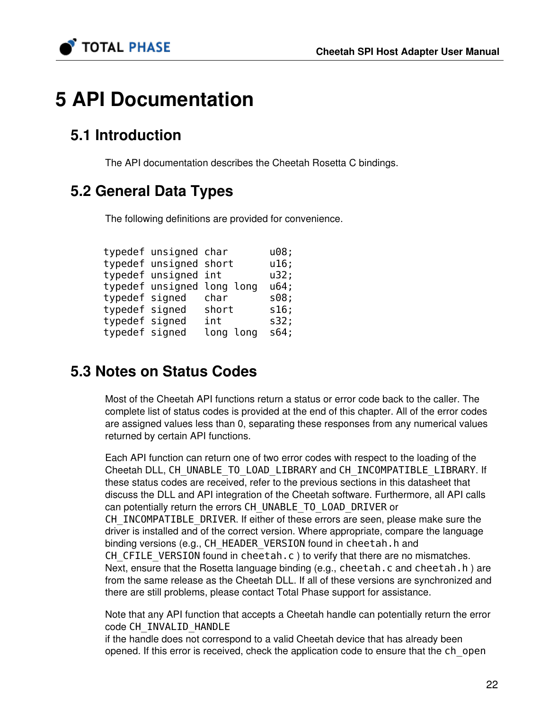

# 5 API Documentation

# 5.1 Introduction

The API documentation describes the Cheetah Rosetta C bindings.

# 5.2 General Data Types

The following definitions are provided for convenience.

|                | typedef unsigned char  |                            | u08; |
|----------------|------------------------|----------------------------|------|
|                | typedef unsigned short |                            | u16; |
|                | typedef unsigned int   |                            | u32; |
|                |                        | typedef unsigned long long | u64; |
| typedef signed |                        | char                       | s08; |
| typedef signed |                        | short                      | s16; |
| typedef signed |                        | int                        | s32; |
| typedef signed |                        | long long                  | s64; |

# 5.3 Notes on Status Codes

Most of the Cheetah API functions return a status or error code back to the caller. The complete list of status codes is provided at the end of this chapter. All of the error codes are assigned values less than 0, separating these responses from any numerical values returned by certain API functions.

Each API function can return one of two error codes with respect to the loading of the Cheetah DLL, CH\_UNABLE\_TO\_LOAD\_LIBRARY and CH\_INCOMPATIBLE\_LIBRARY. If these status codes are received, refer to the previous sections in this datasheet that discuss the DLL and API integration of the Cheetah software. Furthermore, all API calls can potentially return the errors CH\_UNABLE\_TO\_LOAD\_DRIVER or CH\_INCOMPATIBLE\_DRIVER. If either of these errors are seen, please make sure the driver is installed and of the correct version. Where appropriate, compare the language binding versions (e.g., CH\_HEADER\_VERSION found in cheetah.h and CH\_CFILE\_VERSION found in cheetah.c ) to verify that there are no mismatches. Next, ensure that the Rosetta language binding (e.g., cheetah.c and cheetah.h) are from the same release as the Cheetah DLL. If all of these versions are synchronized and there are still problems, please contact Total Phase support for assistance.

Note that any API function that accepts a Cheetah handle can potentially return the error code CH\_INVALID\_HANDLE

if the handle does not correspond to a valid Cheetah device that has already been opened. If this error is received, check the application code to ensure that the ch\_open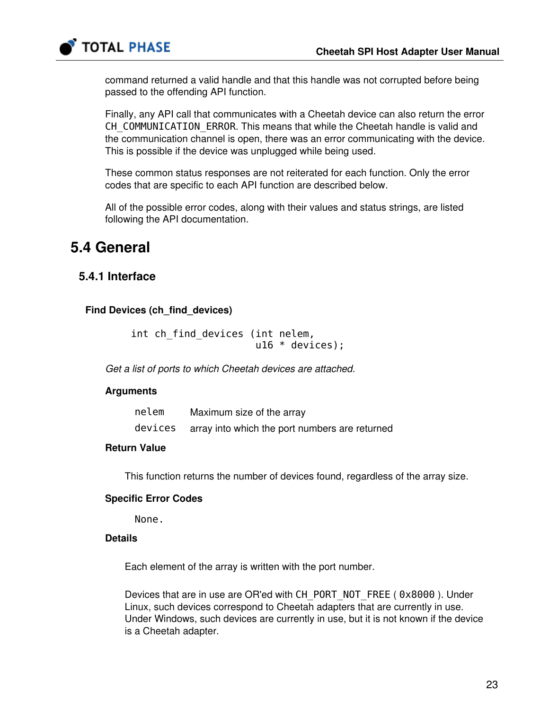

command returned a valid handle and that this handle was not corrupted before being passed to the offending API function.

Finally, any API call that communicates with a Cheetah device can also return the error CH\_COMMUNICATION\_ERROR. This means that while the Cheetah handle is valid and the communication channel is open, there was an error communicating with the device. This is possible if the device was unplugged while being used.

These common status responses are not reiterated for each function. Only the error codes that are specific to each API function are described below.

All of the possible error codes, along with their values and status strings, are listed following the API documentation.

# 5.4 General

## 5.4.1 Interface

#### Find Devices (ch\_find\_devices)

```
int ch find devices (int nelem,
                       u16 * devices);
```
Get a list of ports to which Cheetah devices are attached.

#### Arguments

| nelem | Maximum size of the array                              |
|-------|--------------------------------------------------------|
|       | devices array into which the port numbers are returned |

#### Return Value

This function returns the number of devices found, regardless of the array size.

#### Specific Error Codes

None.

#### **Details**

Each element of the array is written with the port number.

Devices that are in use are OR'ed with CH\_PORT\_NOT\_FREE (  $0x8000$  ). Under Linux, such devices correspond to Cheetah adapters that are currently in use. Under Windows, such devices are currently in use, but it is not known if the device is a Cheetah adapter.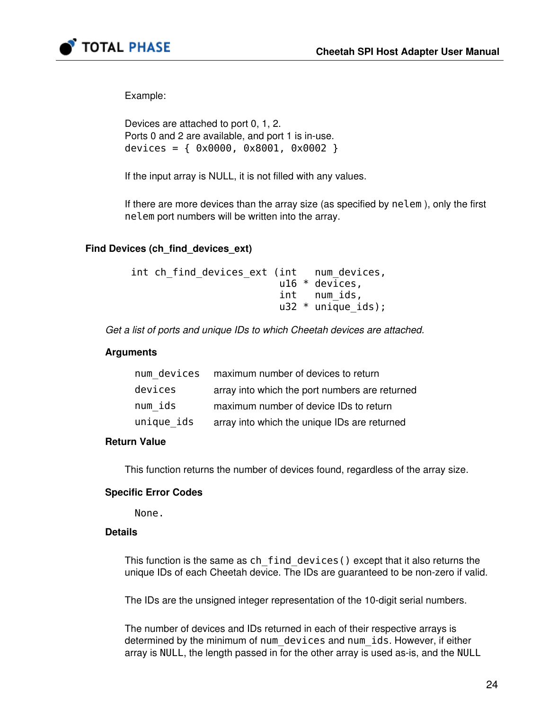



Example:

```
Devices are attached to port 0, 1, 2. 
Ports 0 and 2 are available, and port 1 is in-use. 
devices = { 0x0000, 0x8001, 0x0002 }
```
If the input array is NULL, it is not filled with any values.

If there are more devices than the array size (as specified by nelem ), only the first nelem port numbers will be written into the array.

#### Find Devices (ch\_find\_devices\_ext)

```
int ch find devices ext (int num devices,
                          u16 * devices, 
                          int num_ids, 
                         u32 * uniqueids);
```
Get a list of ports and unique IDs to which Cheetah devices are attached.

#### **Arguments**

| num devices | maximum number of devices to return            |
|-------------|------------------------------------------------|
| devices     | array into which the port numbers are returned |
| num ids     | maximum number of device IDs to return         |
| unique ids  | array into which the unique IDs are returned   |

#### Return Value

This function returns the number of devices found, regardless of the array size.

#### Specific Error Codes

None.

#### **Details**

This function is the same as characterial devices() except that it also returns the unique IDs of each Cheetah device. The IDs are guaranteed to be non-zero if valid.

The IDs are the unsigned integer representation of the 10-digit serial numbers.

The number of devices and IDs returned in each of their respective arrays is determined by the minimum of num devices and num ids. However, if either array is NULL, the length passed in for the other array is used as-is, and the NULL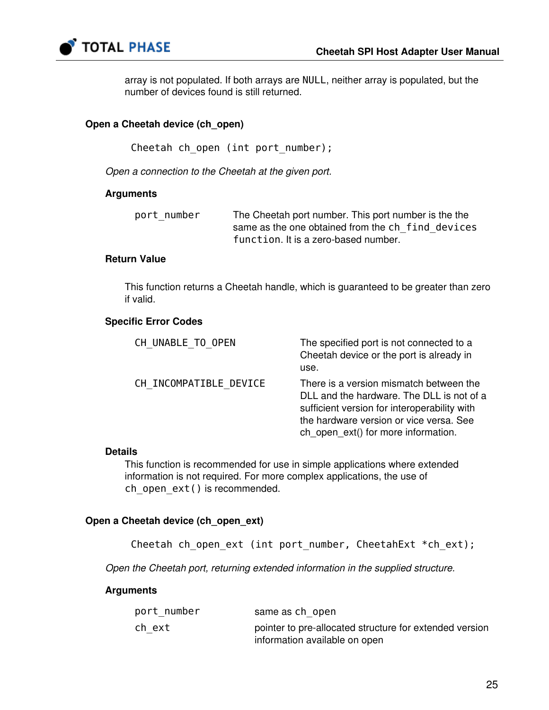

array is not populated. If both arrays are NULL, neither array is populated, but the number of devices found is still returned.

#### Open a Cheetah device (ch\_open)

Cheetah ch open (int port number);

Open a connection to the Cheetah at the given port.

#### **Arguments**

| port number | The Cheetah port number. This port number is the the |
|-------------|------------------------------------------------------|
|             | same as the one obtained from the ch find devices    |
|             | function. It is a zero-based number.                 |

#### Return Value

This function returns a Cheetah handle, which is guaranteed to be greater than zero if valid.

#### Specific Error Codes

| CH UNABLE TO OPEN      | The specified port is not connected to a<br>Cheetah device or the port is already in<br>use.                                                                                                                           |
|------------------------|------------------------------------------------------------------------------------------------------------------------------------------------------------------------------------------------------------------------|
| CH INCOMPATIBLE DEVICE | There is a version mismatch between the<br>DLL and the hardware. The DLL is not of a<br>sufficient version for interoperability with<br>the hardware version or vice versa. See<br>ch_open_ext() for more information. |

#### Details

This function is recommended for use in simple applications where extended information is not required. For more complex applications, the use of ch open ext() is recommended.

#### Open a Cheetah device (ch\_open\_ext)

Cheetah ch open ext (int port number, CheetahExt \*ch ext);

Open the Cheetah port, returning extended information in the supplied structure.

#### **Arguments**

| port number | same as chopen                                          |
|-------------|---------------------------------------------------------|
| ch ext      | pointer to pre-allocated structure for extended version |
|             | information available on open                           |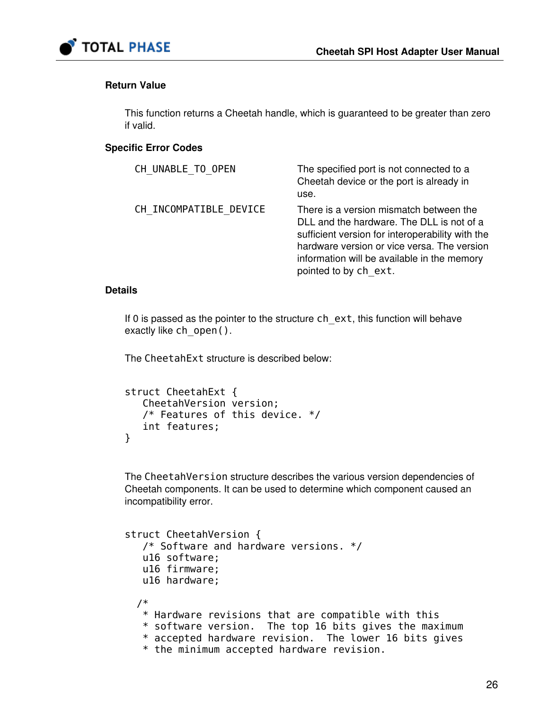

#### Return Value

This function returns a Cheetah handle, which is guaranteed to be greater than zero if valid.

#### Specific Error Codes

| CH UNABLE TO OPEN      | The specified port is not connected to a<br>Cheetah device or the port is already in<br>use.                                                                                                                                                                    |
|------------------------|-----------------------------------------------------------------------------------------------------------------------------------------------------------------------------------------------------------------------------------------------------------------|
| CH INCOMPATIBLE DEVICE | There is a version mismatch between the<br>DLL and the hardware. The DLL is not of a<br>sufficient version for interoperability with the<br>hardware version or vice versa. The version<br>information will be available in the memory<br>pointed to by ch ext. |

#### **Details**

If 0 is passed as the pointer to the structure ch\_ext, this function will behave exactly like ch\_open().

The CheetahExt structure is described below:

```
struct CheetahExt { 
    CheetahVersion version; 
    /* Features of this device. */ 
    int features; 
}
```
The CheetahVersion structure describes the various version dependencies of Cheetah components. It can be used to determine which component caused an incompatibility error.

```
struct CheetahVersion { 
    /* Software and hardware versions. */ 
    u16 software;
    u16 firmware; 
    u16 hardware;
   /* 
    * Hardware revisions that are compatible with this 
    * software version. The top 16 bits gives the maximum 
    * accepted hardware revision. The lower 16 bits gives 
    * the minimum accepted hardware revision.
```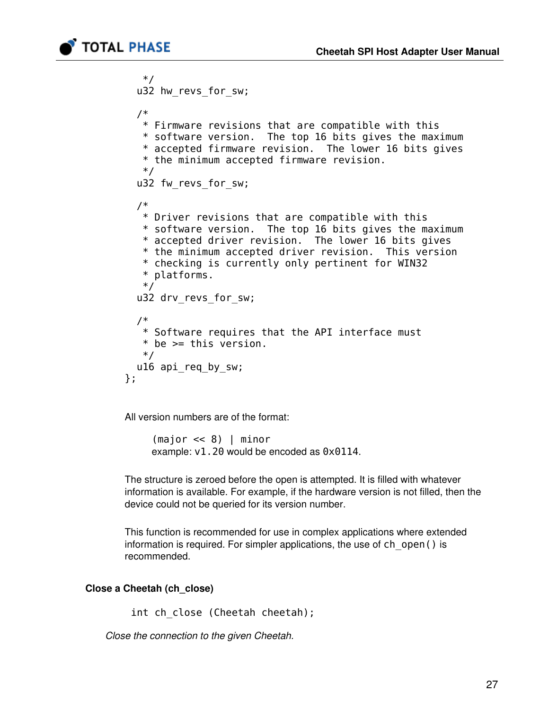

```
 */ 
   u32 hw_revs_for_sw;
   /* 
    * Firmware revisions that are compatible with this 
    * software version. The top 16 bits gives the maximum 
    * accepted firmware revision. The lower 16 bits gives 
    * the minimum accepted firmware revision. 
    */ 
  u32 fw revs for sw;
   /* 
    * Driver revisions that are compatible with this 
    * software version. The top 16 bits gives the maximum 
    * accepted driver revision. The lower 16 bits gives 
    * the minimum accepted driver revision. This version 
    * checking is currently only pertinent for WIN32 
    * platforms. 
    */ 
  u32 drv revs for sw;
   /* 
    * Software requires that the API interface must 
   * be >= this version.
    */ 
  u16 api req by sw;
};
```
All version numbers are of the format:

(major << 8) | minor example: v1.20 would be encoded as 0x0114.

The structure is zeroed before the open is attempted. It is filled with whatever information is available. For example, if the hardware version is not filled, then the device could not be queried for its version number.

This function is recommended for use in complex applications where extended information is required. For simpler applications, the use of ch\_open() is recommended.

#### Close a Cheetah (ch\_close)

int ch close (Cheetah cheetah);

Close the connection to the given Cheetah.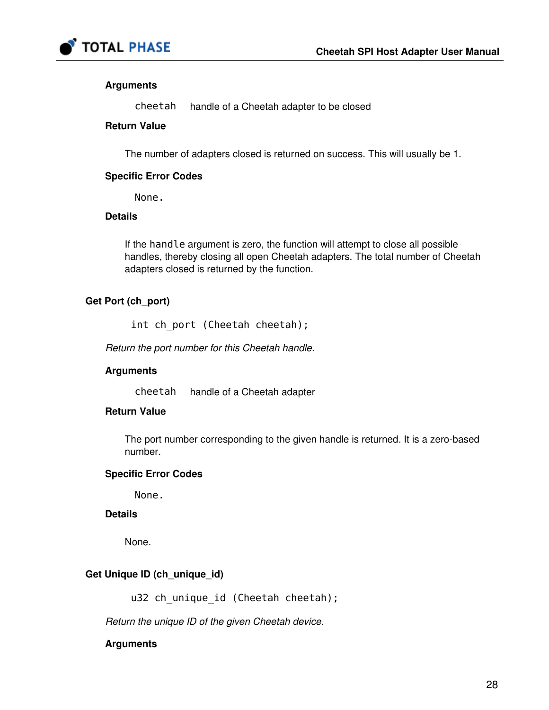

#### Arguments

cheetah handle of a Cheetah adapter to be closed

#### Return Value

The number of adapters closed is returned on success. This will usually be 1.

#### Specific Error Codes

None.

#### **Details**

If the handle argument is zero, the function will attempt to close all possible handles, thereby closing all open Cheetah adapters. The total number of Cheetah adapters closed is returned by the function.

#### Get Port (ch\_port)

int ch\_port (Cheetah cheetah);

Return the port number for this Cheetah handle.

#### **Arguments**

cheetah handle of a Cheetah adapter

#### Return Value

The port number corresponding to the given handle is returned. It is a zero-based number.

#### Specific Error Codes

None.

#### **Details**

None.

#### Get Unique ID (ch\_unique\_id)

u32 ch\_unique\_id (Cheetah cheetah);

Return the unique ID of the given Cheetah device.

#### Arguments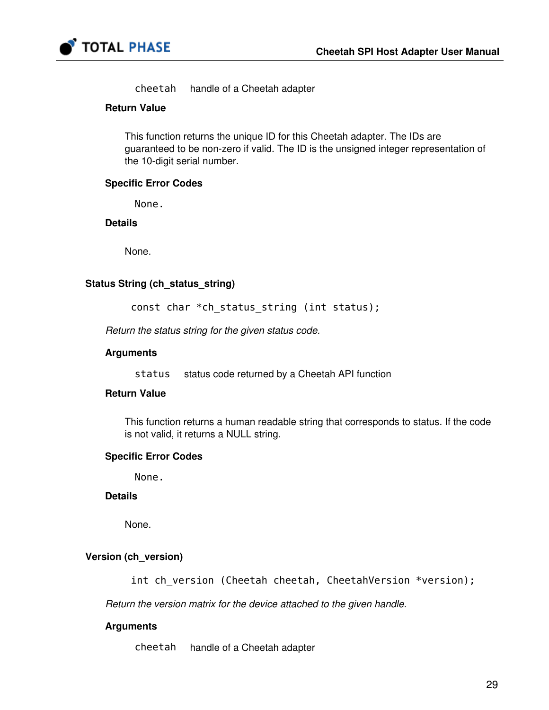

cheetah handle of a Cheetah adapter

#### Return Value

This function returns the unique ID for this Cheetah adapter. The IDs are guaranteed to be non-zero if valid. The ID is the unsigned integer representation of the 10-digit serial number.

#### Specific Error Codes

None.

#### **Details**

None.

#### Status String (ch\_status\_string)

const char \*ch status string (int status);

Return the status string for the given status code.

#### Arguments

status status code returned by a Cheetah API function

#### Return Value

This function returns a human readable string that corresponds to status. If the code is not valid, it returns a NULL string.

#### Specific Error Codes

None.

#### **Details**

None.

#### Version (ch\_version)

int ch version (Cheetah cheetah, CheetahVersion \*version);

Return the version matrix for the device attached to the given handle.

#### Arguments

cheetah handle of a Cheetah adapter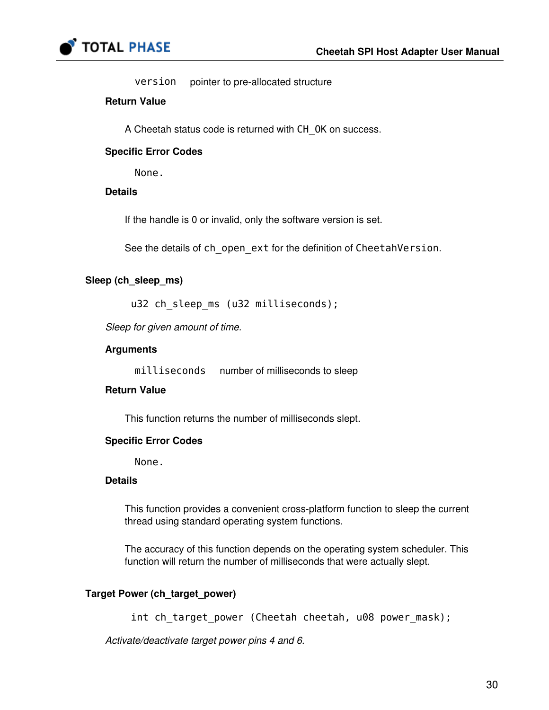

version pointer to pre-allocated structure

#### Return Value

A Cheetah status code is returned with CH\_OK on success.

#### Specific Error Codes

None.

#### **Details**

If the handle is 0 or invalid, only the software version is set.

See the details of ch\_open\_ext for the definition of CheetahVersion.

#### Sleep (ch\_sleep\_ms)

u32 ch sleep ms (u32 milliseconds);

Sleep for given amount of time.

#### Arguments

milliseconds number of milliseconds to sleep

#### Return Value

This function returns the number of milliseconds slept.

#### Specific Error Codes

None.

#### **Details**

This function provides a convenient cross-platform function to sleep the current thread using standard operating system functions.

The accuracy of this function depends on the operating system scheduler. This function will return the number of milliseconds that were actually slept.

#### Target Power (ch\_target\_power)

int ch target power (Cheetah cheetah, u08 power mask);

Activate/deactivate target power pins 4 and 6.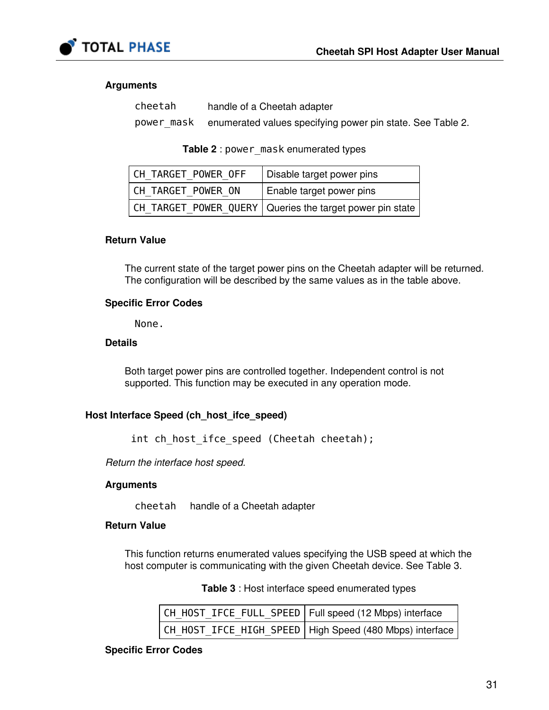

#### Arguments

cheetah handle of a Cheetah adapter power mask enumerated values specifying power pin state. See Table [2.](#page-30-0)

Table 2 : power mask enumerated types

<span id="page-30-0"></span>

| CH TARGET POWER OFF | Disable target power pins                                  |
|---------------------|------------------------------------------------------------|
| CH TARGET POWER ON  | Enable target power pins                                   |
|                     | CH TARGET POWER QUERY   Queries the target power pin state |

#### Return Value

The current state of the target power pins on the Cheetah adapter will be returned. The configuration will be described by the same values as in the table above.

#### Specific Error Codes

None.

#### **Details**

Both target power pins are controlled together. Independent control is not supported. This function may be executed in any operation mode.

#### Host Interface Speed (ch\_host\_ifce\_speed)

int ch host ifce speed (Cheetah cheetah);

Return the interface host speed.

#### **Arguments**

cheetah handle of a Cheetah adapter

#### Return Value

<span id="page-30-1"></span>This function returns enumerated values specifying the USB speed at which the host computer is communicating with the given Cheetah device. See Table [3](#page-30-1).

Table 3 : Host interface speed enumerated types

| CH_HOST_IFCE_FULL_SPEED   Full speed (12 Mbps) interface |                                                           |
|----------------------------------------------------------|-----------------------------------------------------------|
|                                                          | CH_H0ST_IFCE_HIGH_SPEED   High Speed (480 Mbps) interface |

#### Specific Error Codes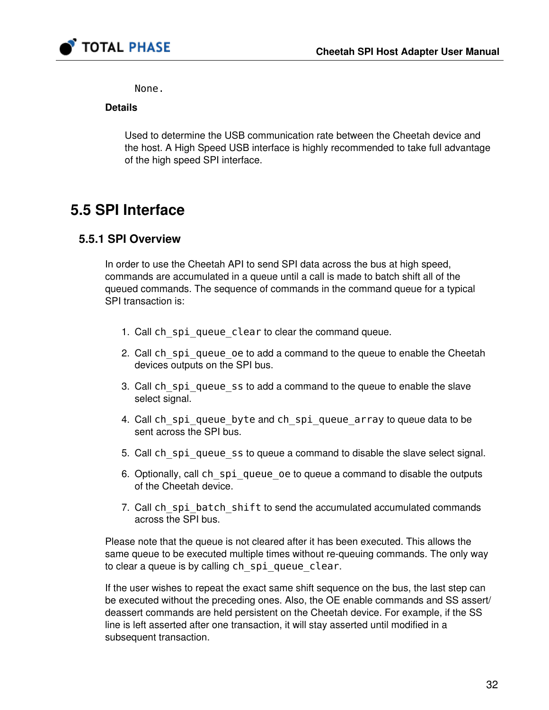

None.

#### **Details**

Used to determine the USB communication rate between the Cheetah device and the host. A High Speed USB interface is highly recommended to take full advantage of the high speed SPI interface.

# 5.5 SPI Interface

### 5.5.1 SPI Overview

In order to use the Cheetah API to send SPI data across the bus at high speed, commands are accumulated in a queue until a call is made to batch shift all of the queued commands. The sequence of commands in the command queue for a typical SPI transaction is:

- 1. Call ch spiqueue clear to clear the command queue.
- 2. Call ch spi queue oe to add a command to the queue to enable the Cheetah devices outputs on the SPI bus.
- 3. Call ch\_spi\_queue\_ss to add a command to the queue to enable the slave select signal.
- 4. Call ch\_spi\_queue\_byte and ch\_spi\_queue\_array to queue data to be sent across the SPI bus.
- 5. Call ch\_spi\_queue\_ss to queue a command to disable the slave select signal.
- 6. Optionally, call ch\_spi\_queue\_oe to queue a command to disable the outputs of the Cheetah device.
- 7. Call ch\_spi\_batch\_shift to send the accumulated accumulated commands across the SPI bus.

Please note that the queue is not cleared after it has been executed. This allows the same queue to be executed multiple times without re-queuing commands. The only way to clear a queue is by calling ch spiqueue clear.

If the user wishes to repeat the exact same shift sequence on the bus, the last step can be executed without the preceding ones. Also, the OE enable commands and SS assert/ deassert commands are held persistent on the Cheetah device. For example, if the SS line is left asserted after one transaction, it will stay asserted until modified in a subsequent transaction.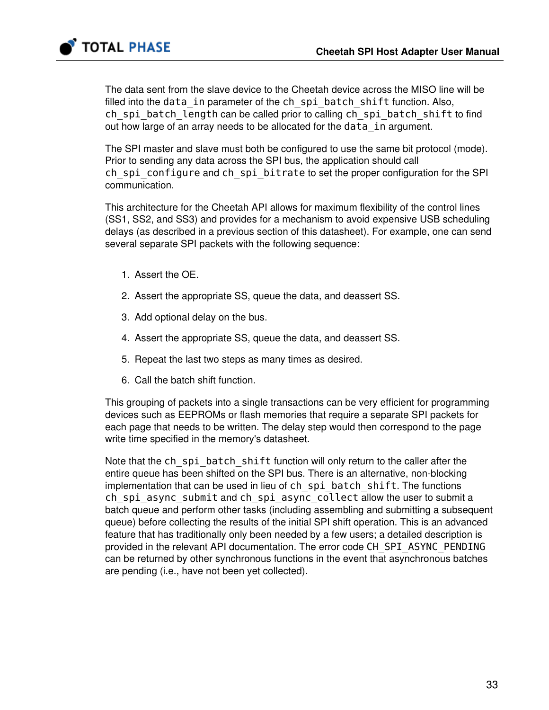

The data sent from the slave device to the Cheetah device across the MISO line will be filled into the data in parameter of the ch\_spi\_batch\_shift function. Also, ch spi batch length can be called prior to calling ch spi batch shift to find out how large of an array needs to be allocated for the data in argument.

The SPI master and slave must both be configured to use the same bit protocol (mode). Prior to sending any data across the SPI bus, the application should call ch spi configure and ch spi bitrate to set the proper configuration for the SPI communication.

This architecture for the Cheetah API allows for maximum flexibility of the control lines (SS1, SS2, and SS3) and provides for a mechanism to avoid expensive USB scheduling delays (as described in a previous section of this datasheet). For example, one can send several separate SPI packets with the following sequence:

- 1. Assert the OE.
- 2. Assert the appropriate SS, queue the data, and deassert SS.
- 3. Add optional delay on the bus.
- 4. Assert the appropriate SS, queue the data, and deassert SS.
- 5. Repeat the last two steps as many times as desired.
- 6. Call the batch shift function.

This grouping of packets into a single transactions can be very efficient for programming devices such as EEPROMs or flash memories that require a separate SPI packets for each page that needs to be written. The delay step would then correspond to the page write time specified in the memory's datasheet.

Note that the ch spi batch shift function will only return to the caller after the entire queue has been shifted on the SPI bus. There is an alternative, non-blocking implementation that can be used in lieu of ch spi batch shift. The functions ch\_spi\_async\_submit and ch\_spi\_async\_collect allow the user to submit a batch queue and perform other tasks (including assembling and submitting a subsequent queue) before collecting the results of the initial SPI shift operation. This is an advanced feature that has traditionally only been needed by a few users; a detailed description is provided in the relevant API documentation. The error code CH\_SPI\_ASYNC\_PENDING can be returned by other synchronous functions in the event that asynchronous batches are pending (i.e., have not been yet collected).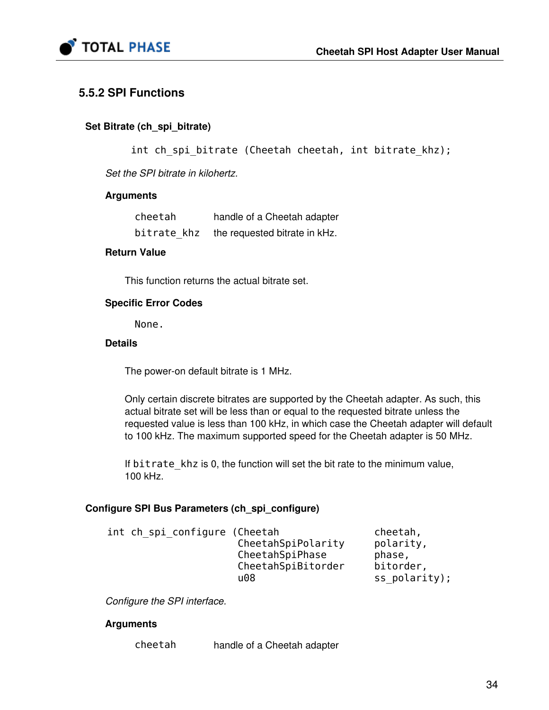

## 5.5.2 SPI Functions

#### Set Bitrate (ch\_spi\_bitrate)

int ch spi bitrate (Cheetah cheetah, int bitrate khz);

Set the SPI bitrate in kilohertz.

#### **Arguments**

| cheetah     | handle of a Cheetah adapter   |
|-------------|-------------------------------|
| bitrate khz | the requested bitrate in kHz. |

#### Return Value

This function returns the actual bitrate set.

#### Specific Error Codes

None.

#### **Details**

The power-on default bitrate is 1 MHz.

Only certain discrete bitrates are supported by the Cheetah adapter. As such, this actual bitrate set will be less than or equal to the requested bitrate unless the requested value is less than 100 kHz, in which case the Cheetah adapter will default to 100 kHz. The maximum supported speed for the Cheetah adapter is 50 MHz.

If bitrate khz is 0, the function will set the bit rate to the minimum value, 100 kHz.

#### Configure SPI Bus Parameters (ch\_spi\_configure)

| int ch spi configure (Cheetah |                    | cheetah,        |
|-------------------------------|--------------------|-----------------|
|                               | CheetahSpiPolarity | polarity,       |
|                               | CheetahSpiPhase    | phase,          |
|                               | CheetahSpiBitorder | bitorder,       |
|                               | u08                | $ss$ polarity); |

Configure the SPI interface.

#### **Arguments**

cheetah handle of a Cheetah adapter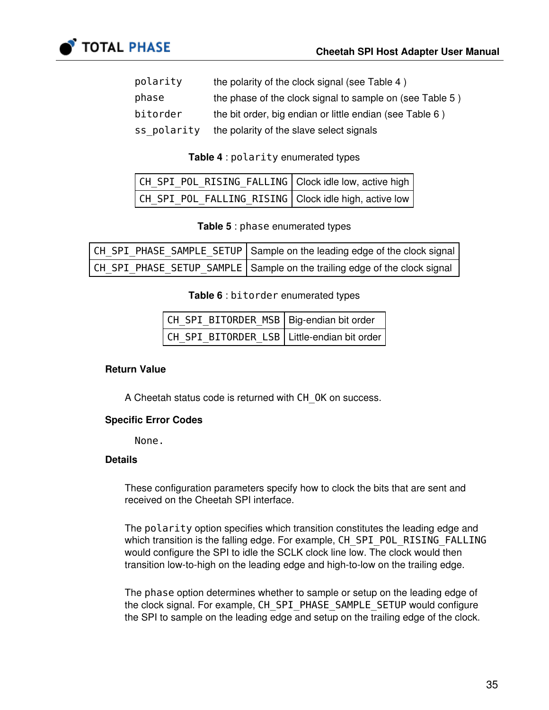

| polarity    | the polarity of the clock signal (see Table 4)           |
|-------------|----------------------------------------------------------|
| phase       | the phase of the clock signal to sample on (see Table 5) |
| bitorder    | the bit order, big endian or little endian (see Table 6) |
| ss polarity | the polarity of the slave select signals                 |

#### Table 4 : polarity enumerated types

<span id="page-34-0"></span>

| CH SPI POL RISING FALLING Clock idle low, active high |  |
|-------------------------------------------------------|--|
| CH SPI POL FALLING RISING Clock idle high, active low |  |

Table 5 : phase enumerated types

<span id="page-34-2"></span><span id="page-34-1"></span>

| CH SPI PHASE SAMPLE_SETUP   Sample on the leading edge of the clock signal |
|----------------------------------------------------------------------------|
| CH SPI PHASE SETUP SAMPLE Sample on the trailing edge of the clock signal  |

#### Table 6 : bitorder enumerated types

| CH_SPI_BITORDER_MSB   Big-endian bit order    |  |
|-----------------------------------------------|--|
| CH_SPI_BITORDER_LSB   Little-endian bit order |  |

#### Return Value

A Cheetah status code is returned with CH\_OK on success.

#### Specific Error Codes

None.

#### **Details**

These configuration parameters specify how to clock the bits that are sent and received on the Cheetah SPI interface.

The polarity option specifies which transition constitutes the leading edge and which transition is the falling edge. For example, CH\_SPI\_POL\_RISING\_FALLING would configure the SPI to idle the SCLK clock line low. The clock would then transition low-to-high on the leading edge and high-to-low on the trailing edge.

The phase option determines whether to sample or setup on the leading edge of the clock signal. For example, CH\_SPI\_PHASE\_SAMPLE\_SETUP would configure the SPI to sample on the leading edge and setup on the trailing edge of the clock.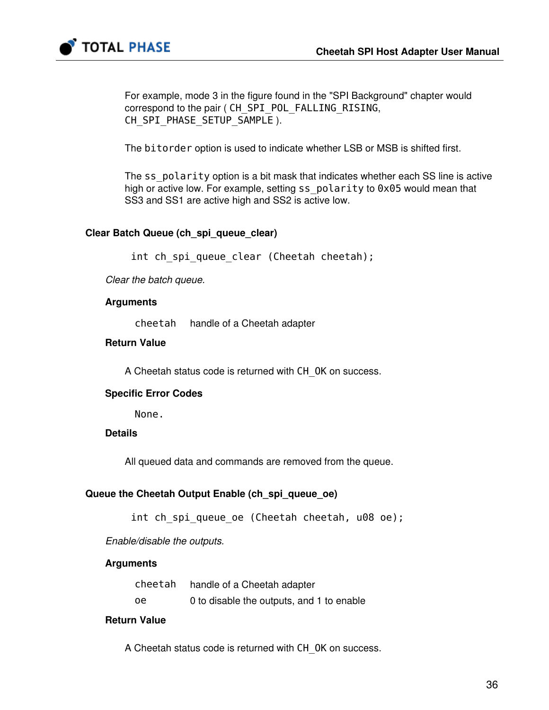

For example, mode 3 in the figure found in the "SPI Background" chapter would correspond to the pair ( CH\_SPI\_POL\_FALLING\_RISING, CH\_SPI\_PHASE\_SETUP\_SAMPLE ).

The bitorder option is used to indicate whether LSB or MSB is shifted first.

The ss polarity option is a bit mask that indicates whether each SS line is active high or active low. For example, setting ss\_polarity to 0x05 would mean that SS3 and SS1 are active high and SS2 is active low.

#### Clear Batch Queue (ch\_spi\_queue\_clear)

int ch spi queue clear (Cheetah cheetah);

Clear the batch queue.

#### Arguments

cheetah handle of a Cheetah adapter

#### Return Value

A Cheetah status code is returned with CH\_OK on success.

#### Specific Error Codes

None.

#### **Details**

All queued data and commands are removed from the queue.

#### Queue the Cheetah Output Enable (ch\_spi\_queue\_oe)

int ch\_spi\_queue\_oe (Cheetah cheetah, u08 oe);

Enable/disable the outputs.

#### **Arguments**

|    | cheetah handle of a Cheetah adapter       |
|----|-------------------------------------------|
| oe | 0 to disable the outputs, and 1 to enable |

#### Return Value

A Cheetah status code is returned with CH\_OK on success.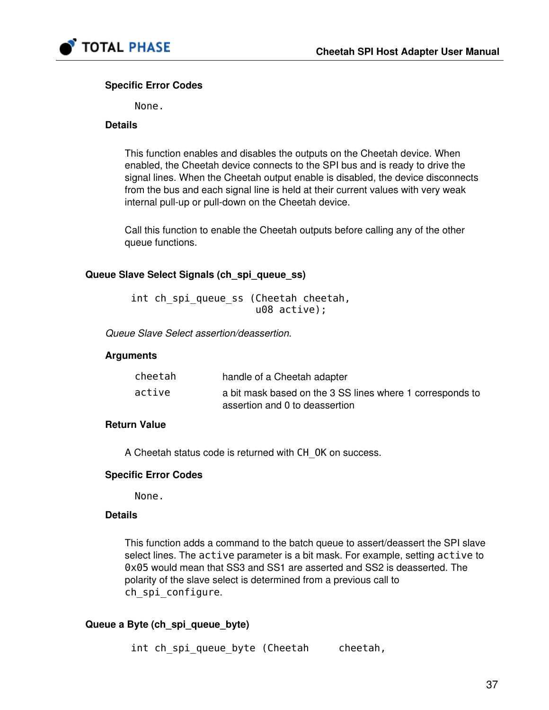

#### Specific Error Codes

None.

#### **Details**

This function enables and disables the outputs on the Cheetah device. When enabled, the Cheetah device connects to the SPI bus and is ready to drive the signal lines. When the Cheetah output enable is disabled, the device disconnects from the bus and each signal line is held at their current values with very weak internal pull-up or pull-down on the Cheetah device.

Call this function to enable the Cheetah outputs before calling any of the other queue functions.

#### Queue Slave Select Signals (ch\_spi\_queue\_ss)

 int ch\_spi\_queue\_ss (Cheetah cheetah, u08 active);

Queue Slave Select assertion/deassertion.

#### Arguments

| cheetah | handle of a Cheetah adapter                                                                 |
|---------|---------------------------------------------------------------------------------------------|
| active  | a bit mask based on the 3 SS lines where 1 corresponds to<br>assertion and 0 to deassertion |

#### Return Value

A Cheetah status code is returned with CH\_OK on success.

#### Specific Error Codes

None.

#### **Details**

This function adds a command to the batch queue to assert/deassert the SPI slave select lines. The active parameter is a bit mask. For example, setting active to 0x05 would mean that SS3 and SS1 are asserted and SS2 is deasserted. The polarity of the slave select is determined from a previous call to ch spi configure.

### Queue a Byte (ch\_spi\_queue\_byte)

int ch spi queue byte (Cheetah cheetah,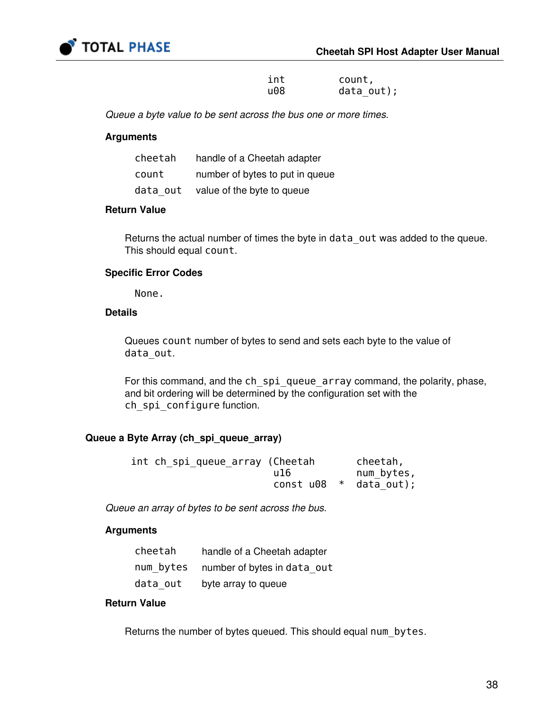

 int count, u08 data\_out);

Queue a byte value to be sent across the bus one or more times.

#### Arguments

| cheetah  | handle of a Cheetah adapter     |
|----------|---------------------------------|
| count    | number of bytes to put in queue |
| data out | value of the byte to queue      |

#### Return Value

Returns the actual number of times the byte in data out was added to the queue. This should equal count.

#### Specific Error Codes

None.

#### **Details**

Queues count number of bytes to send and sets each byte to the value of data\_out.

For this command, and the ch\_spi\_queue\_array command, the polarity, phase, and bit ordering will be determined by the configuration set with the ch spi configure function.

#### Queue a Byte Array (ch\_spi\_queue\_array)

| int ch_spi_queue_array (Cheetah |           | cheetah,     |
|---------------------------------|-----------|--------------|
|                                 | u 16      | num bytes,   |
|                                 | const u08 | * data out); |

Queue an array of bytes to be sent across the bus.

#### Arguments

| cheetah  | handle of a Cheetah adapter           |
|----------|---------------------------------------|
|          | num bytes number of bytes in data out |
| data out | byte array to queue                   |

#### Return Value

Returns the number of bytes queued. This should equal num bytes.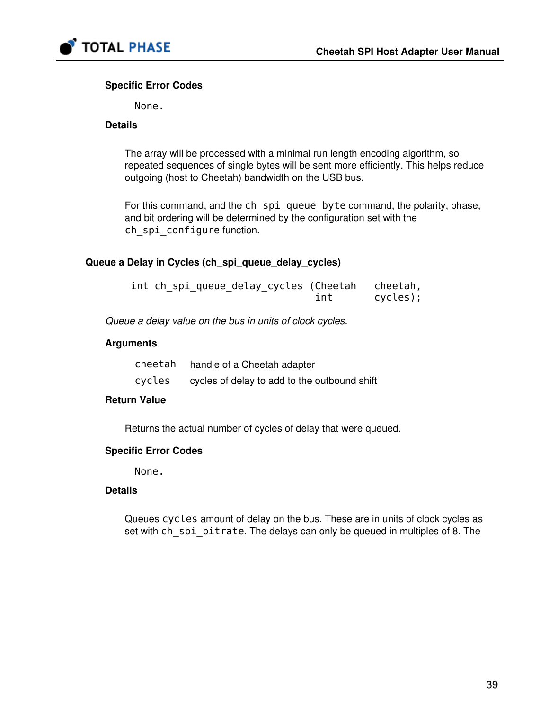

#### Specific Error Codes

None.

#### **Details**

The array will be processed with a minimal run length encoding algorithm, so repeated sequences of single bytes will be sent more efficiently. This helps reduce outgoing (host to Cheetah) bandwidth on the USB bus.

For this command, and the ch\_spi\_queue\_byte command, the polarity, phase, and bit ordering will be determined by the configuration set with the ch spi configure function.

#### Queue a Delay in Cycles (ch\_spi\_queue\_delay\_cycles)

| int ch_spi_queue_delay_cycles (Cheetah cheetah, |     |          |
|-------------------------------------------------|-----|----------|
|                                                 | int | cycles); |

Queue a delay value on the bus in units of clock cycles.

#### **Arguments**

| cheetah | handle of a Cheetah adapter                  |
|---------|----------------------------------------------|
| cycles  | cycles of delay to add to the outbound shift |

#### Return Value

Returns the actual number of cycles of delay that were queued.

#### Specific Error Codes

None.

#### Details

Queues cycles amount of delay on the bus. These are in units of clock cycles as set with ch\_spi\_bitrate. The delays can only be queued in multiples of 8. The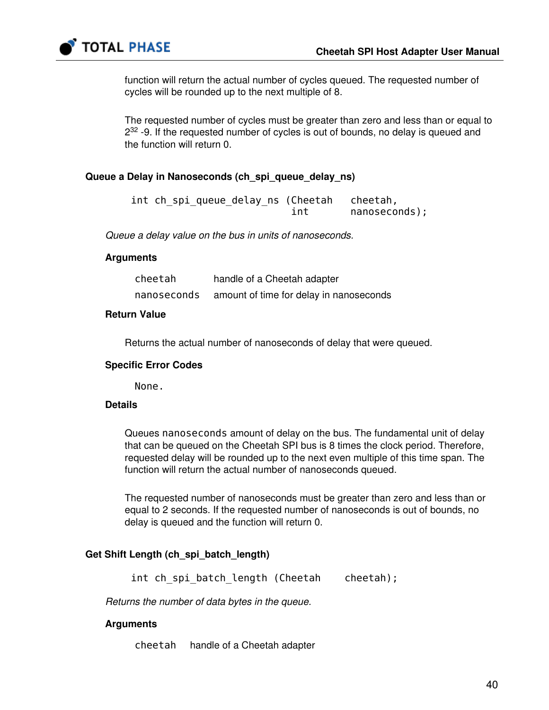

function will return the actual number of cycles queued. The requested number of cycles will be rounded up to the next multiple of 8.

The requested number of cycles must be greater than zero and less than or equal to  $2^{32}$  -9. If the requested number of cycles is out of bounds, no delay is queued and the function will return 0.

#### Queue a Delay in Nanoseconds (ch\_spi\_queue\_delay\_ns)

|  |  |     | int ch_spi_queue_delay_ns (Cheetah cheetah, |
|--|--|-----|---------------------------------------------|
|  |  | int | nanoseconds);                               |

Queue a delay value on the bus in units of nanoseconds.

#### **Arguments**

| cheetah     | handle of a Cheetah adapter             |
|-------------|-----------------------------------------|
| nanoseconds | amount of time for delay in nanoseconds |

#### Return Value

Returns the actual number of nanoseconds of delay that were queued.

#### Specific Error Codes

None.

#### **Details**

Queues nanoseconds amount of delay on the bus. The fundamental unit of delay that can be queued on the Cheetah SPI bus is 8 times the clock period. Therefore, requested delay will be rounded up to the next even multiple of this time span. The function will return the actual number of nanoseconds queued.

The requested number of nanoseconds must be greater than zero and less than or equal to 2 seconds. If the requested number of nanoseconds is out of bounds, no delay is queued and the function will return 0.

#### Get Shift Length (ch\_spi\_batch\_length)

int ch spi batch length (Cheetah cheetah);

Returns the number of data bytes in the queue.

#### Arguments

cheetah handle of a Cheetah adapter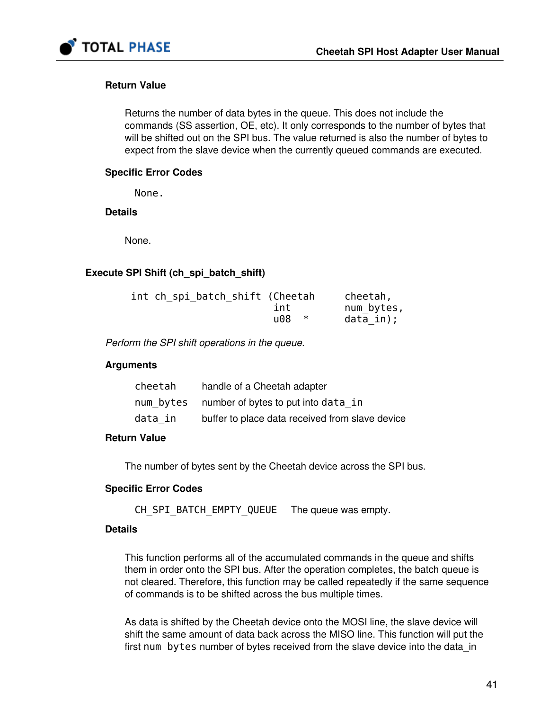

#### Return Value

Returns the number of data bytes in the queue. This does not include the commands (SS assertion, OE, etc). It only corresponds to the number of bytes that will be shifted out on the SPI bus. The value returned is also the number of bytes to expect from the slave device when the currently queued commands are executed.

#### Specific Error Codes

None.

**Details** 

None.

#### Execute SPI Shift (ch\_spi\_batch\_shift)

| int ch spi batch shift (Cheetah |     | cheetah,   |
|---------------------------------|-----|------------|
|                                 | int | num_bytes, |
|                                 | u08 | data in);  |

Perform the SPI shift operations in the queue.

#### Arguments

| cheetah | handle of a Cheetah adapter                     |
|---------|-------------------------------------------------|
|         | num bytes number of bytes to put into data in   |
| data in | buffer to place data received from slave device |

#### Return Value

The number of bytes sent by the Cheetah device across the SPI bus.

#### Specific Error Codes

CH\_SPI\_BATCH\_EMPTY\_QUEUE The queue was empty.

#### **Details**

This function performs all of the accumulated commands in the queue and shifts them in order onto the SPI bus. After the operation completes, the batch queue is not cleared. Therefore, this function may be called repeatedly if the same sequence of commands is to be shifted across the bus multiple times.

As data is shifted by the Cheetah device onto the MOSI line, the slave device will shift the same amount of data back across the MISO line. This function will put the first num bytes number of bytes received from the slave device into the data\_in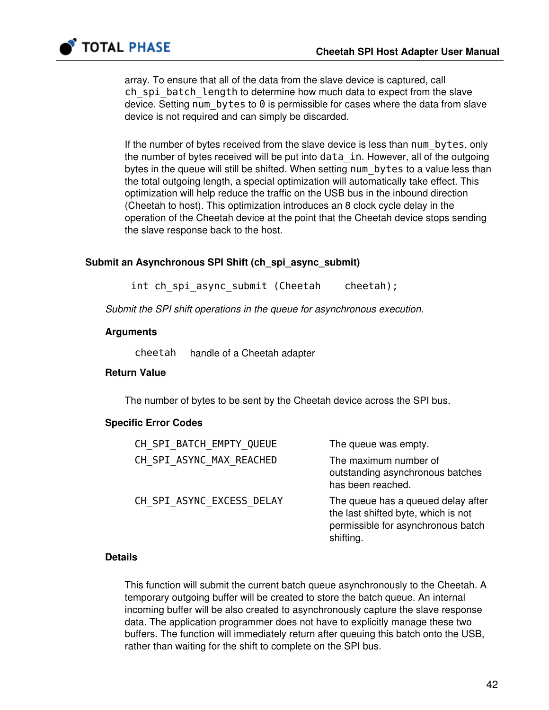

array. To ensure that all of the data from the slave device is captured, call ch spi batch length to determine how much data to expect from the slave device. Setting num bytes to 0 is permissible for cases where the data from slave device is not required and can simply be discarded.

If the number of bytes received from the slave device is less than num\_bytes, only the number of bytes received will be put into data\_in. However, all of the outgoing bytes in the queue will still be shifted. When setting num bytes to a value less than the total outgoing length, a special optimization will automatically take effect. This optimization will help reduce the traffic on the USB bus in the inbound direction (Cheetah to host). This optimization introduces an 8 clock cycle delay in the operation of the Cheetah device at the point that the Cheetah device stops sending the slave response back to the host.

#### Submit an Asynchronous SPI Shift (ch\_spi\_async\_submit)

int ch spi async submit (Cheetah cheetah);

Submit the SPI shift operations in the queue for asynchronous execution.

#### Arguments

cheetah handle of a Cheetah adapter

#### Return Value

The number of bytes to be sent by the Cheetah device across the SPI bus.

#### Specific Error Codes

| CH_SPI_BATCH_EMPTY_QUEUE  | The queue was empty.                                                                                                         |
|---------------------------|------------------------------------------------------------------------------------------------------------------------------|
| CH SPI ASYNC MAX REACHED  | The maximum number of<br>outstanding asynchronous batches<br>has been reached.                                               |
| CH SPI ASYNC EXCESS DELAY | The queue has a queued delay after<br>the last shifted byte, which is not<br>permissible for asynchronous batch<br>shifting. |

#### **Details**

This function will submit the current batch queue asynchronously to the Cheetah. A temporary outgoing buffer will be created to store the batch queue. An internal incoming buffer will be also created to asynchronously capture the slave response data. The application programmer does not have to explicitly manage these two buffers. The function will immediately return after queuing this batch onto the USB, rather than waiting for the shift to complete on the SPI bus.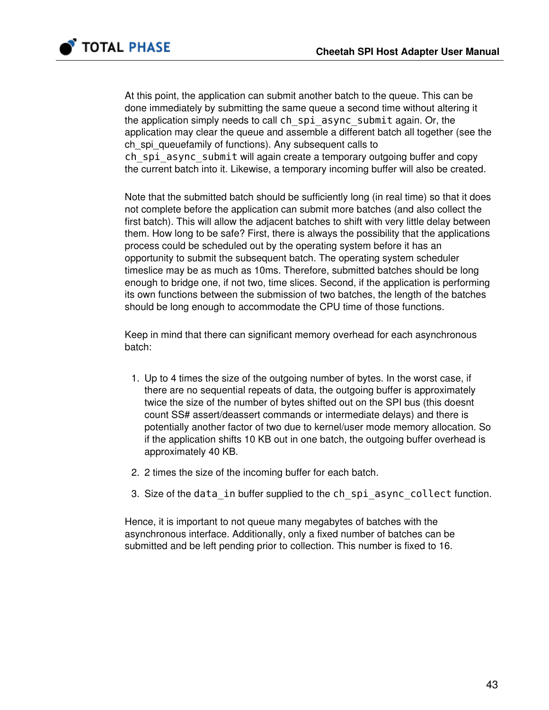

At this point, the application can submit another batch to the queue. This can be done immediately by submitting the same queue a second time without altering it the application simply needs to call ch\_spi\_async\_submit again. Or, the application may clear the queue and assemble a different batch all together (see the ch spi\_queuefamily of functions). Any subsequent calls to ch spi async submit will again create a temporary outgoing buffer and copy the current batch into it. Likewise, a temporary incoming buffer will also be created.

Note that the submitted batch should be sufficiently long (in real time) so that it does not complete before the application can submit more batches (and also collect the first batch). This will allow the adjacent batches to shift with very little delay between them. How long to be safe? First, there is always the possibility that the applications process could be scheduled out by the operating system before it has an opportunity to submit the subsequent batch. The operating system scheduler timeslice may be as much as 10ms. Therefore, submitted batches should be long enough to bridge one, if not two, time slices. Second, if the application is performing its own functions between the submission of two batches, the length of the batches should be long enough to accommodate the CPU time of those functions.

Keep in mind that there can significant memory overhead for each asynchronous batch:

- 1. Up to 4 times the size of the outgoing number of bytes. In the worst case, if there are no sequential repeats of data, the outgoing buffer is approximately twice the size of the number of bytes shifted out on the SPI bus (this doesnt count SS# assert/deassert commands or intermediate delays) and there is potentially another factor of two due to kernel/user mode memory allocation. So if the application shifts 10 KB out in one batch, the outgoing buffer overhead is approximately 40 KB.
- 2. 2 times the size of the incoming buffer for each batch.
- 3. Size of the data in buffer supplied to the ch\_spi\_async\_collect function.

Hence, it is important to not queue many megabytes of batches with the asynchronous interface. Additionally, only a fixed number of batches can be submitted and be left pending prior to collection. This number is fixed to 16.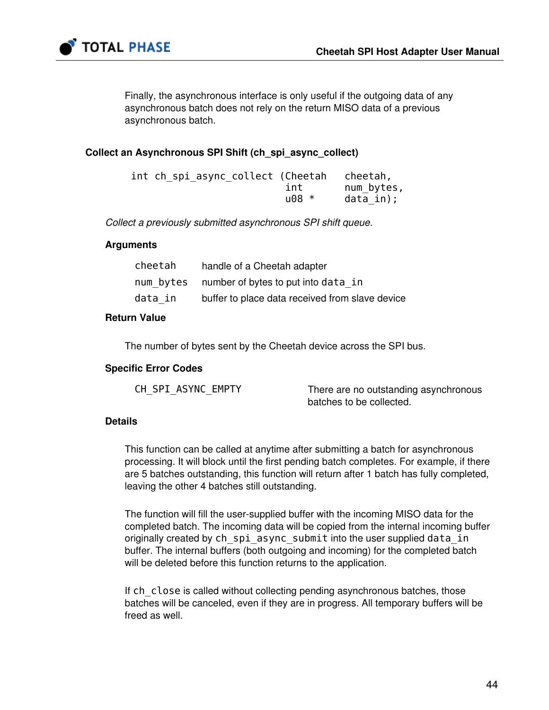

Finally, the asynchronous interface is only useful if the outgoing data of any asynchronous batch does not rely on the return MISO data of a previous asynchronous batch.

#### Collect an Asynchronous SPI Shift (ch\_spi\_async\_collect)

| int ch spi async collect (Cheetah |          | cheetah,   |
|-----------------------------------|----------|------------|
|                                   | int      | num bytes, |
|                                   | $1008 *$ | data in);  |

Collect a previously submitted asynchronous SPI shift queue.

#### Arguments

| cheetah | handle of a Cheetah adapter                     |
|---------|-------------------------------------------------|
|         | num bytes number of bytes to put into data in   |
| data in | buffer to place data received from slave device |

#### Return Value

The number of bytes sent by the Cheetah device across the SPI bus.

#### Specific Error Codes

| CH SPI ASYNC EMPTY | There are no outstanding asynchronous |
|--------------------|---------------------------------------|
|                    | batches to be collected.              |

#### **Details**

This function can be called at anytime after submitting a batch for asynchronous processing. It will block until the first pending batch completes. For example, if there are 5 batches outstanding, this function will return after 1 batch has fully completed, leaving the other 4 batches still outstanding.

The function will fill the user-supplied buffer with the incoming MISO data for the completed batch. The incoming data will be copied from the internal incoming buffer originally created by ch\_spi\_async\_submit into the user supplied data\_in buffer. The internal buffers (both outgoing and incoming) for the completed batch will be deleted before this function returns to the application.

If ch\_close is called without collecting pending asynchronous batches, those batches will be canceled, even if they are in progress. All temporary buffers will be freed as well.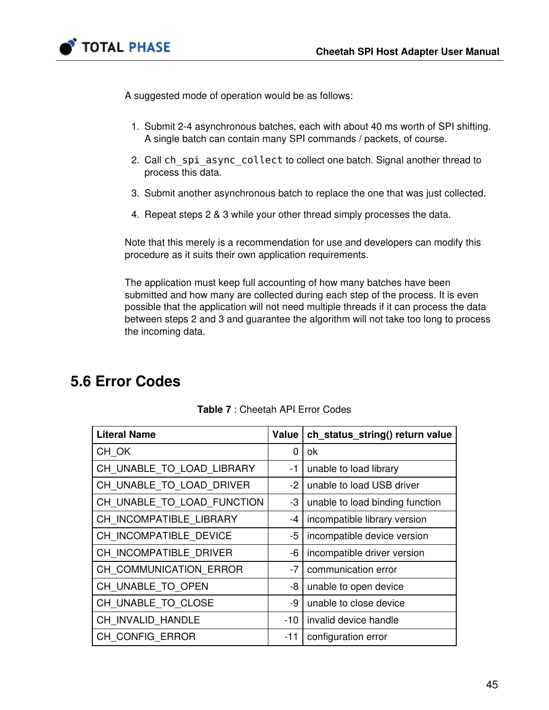

A suggested mode of operation would be as follows:

- 1. Submit 2-4 asynchronous batches, each with about 40 ms worth of SPI shifting. A single batch can contain many SPI commands / packets, of course.
- 2. Call ch\_spi\_async\_collect to collect one batch. Signal another thread to process this data.
- 3. Submit another asynchronous batch to replace the one that was just collected.
- 4. Repeat steps 2 & 3 while your other thread simply processes the data.

Note that this merely is a recommendation for use and developers can modify this procedure as it suits their own application requirements.

The application must keep full accounting of how many batches have been submitted and how many are collected during each step of the process. It is even possible that the application will not need multiple threads if it can process the data between steps 2 and 3 and guarantee the algorithm will not take too long to process the incoming data.

# 5.6 Error Codes

| <b>Literal Name</b>        | Value | ch_status_string() return value |
|----------------------------|-------|---------------------------------|
| CH OK                      | 0     | ok                              |
| CH_UNABLE_TO_LOAD_LIBRARY  | -1    | unable to load library          |
| CH_UNABLE_TO_LOAD_DRIVER   | -2    | unable to load USB driver       |
| CH_UNABLE_TO_LOAD_FUNCTION | -3    | unable to load binding function |
| CH INCOMPATIBLE LIBRARY    | -4    | incompatible library version    |
| CH INCOMPATIBLE DEVICE     | -5    | incompatible device version     |
| CH INCOMPATIBLE DRIVER     | -6    | incompatible driver version     |
| CH COMMUNICATION ERROR     | $-7$  | communication error             |
| CH UNABLE TO OPEN          | -8    | unable to open device           |
| CH UNABLE TO CLOSE         | -9    | unable to close device          |
| CH INVALID HANDLE          | -10   | invalid device handle           |
| CH CONFIG ERROR            | -11   | configuration error             |

Table 7 : Cheetah API Error Codes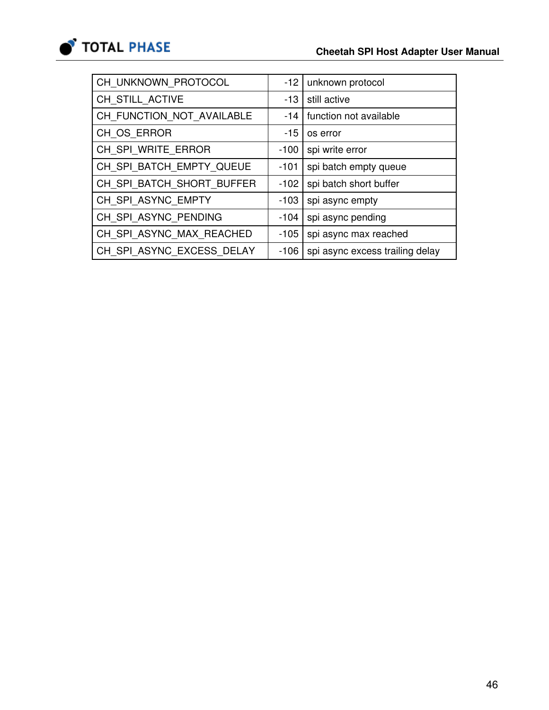

| CH UNKNOWN PROTOCOL       | $-12$  | unknown protocol                |
|---------------------------|--------|---------------------------------|
| CH_STILL_ACTIVE           | $-13$  | still active                    |
| CH_FUNCTION_NOT_AVAILABLE | $-14$  | function not available          |
| CH OS ERROR               | $-15$  | os error                        |
| CH SPI WRITE ERROR        | $-100$ | spi write error                 |
| CH_SPI_BATCH_EMPTY_QUEUE  | $-101$ | spi batch empty queue           |
| CH_SPI_BATCH_SHORT_BUFFER | $-102$ | spi batch short buffer          |
| CH SPI ASYNC EMPTY        | $-103$ | spi async empty                 |
| CH SPI ASYNC PENDING      | $-104$ | spi async pending               |
| CH SPI ASYNC MAX REACHED  | $-105$ | spi async max reached           |
| CH SPI ASYNC EXCESS DELAY | $-106$ | spi async excess trailing delay |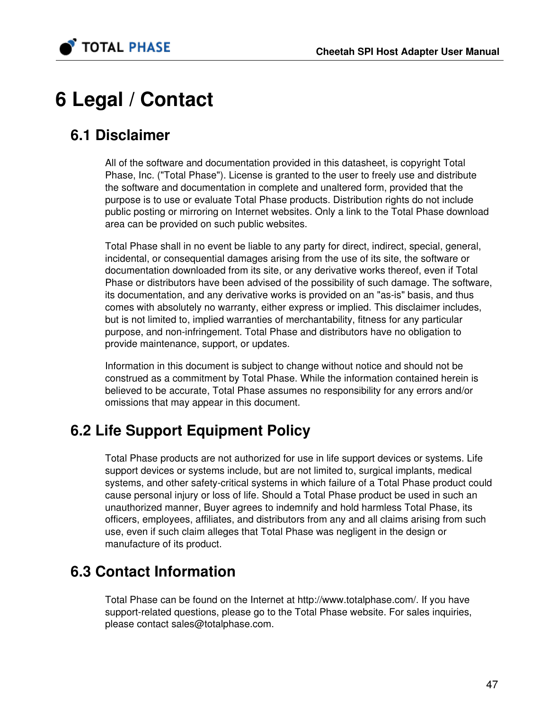

# 6 Legal / Contact

# 6.1 Disclaimer

All of the software and documentation provided in this datasheet, is copyright Total Phase, Inc. ("Total Phase"). License is granted to the user to freely use and distribute the software and documentation in complete and unaltered form, provided that the purpose is to use or evaluate Total Phase products. Distribution rights do not include public posting or mirroring on Internet websites. Only a link to the Total Phase download area can be provided on such public websites.

Total Phase shall in no event be liable to any party for direct, indirect, special, general, incidental, or consequential damages arising from the use of its site, the software or documentation downloaded from its site, or any derivative works thereof, even if Total Phase or distributors have been advised of the possibility of such damage. The software, its documentation, and any derivative works is provided on an "as-is" basis, and thus comes with absolutely no warranty, either express or implied. This disclaimer includes, but is not limited to, implied warranties of merchantability, fitness for any particular purpose, and non-infringement. Total Phase and distributors have no obligation to provide maintenance, support, or updates.

Information in this document is subject to change without notice and should not be construed as a commitment by Total Phase. While the information contained herein is believed to be accurate, Total Phase assumes no responsibility for any errors and/or omissions that may appear in this document.

# 6.2 Life Support Equipment Policy

Total Phase products are not authorized for use in life support devices or systems. Life support devices or systems include, but are not limited to, surgical implants, medical systems, and other safety-critical systems in which failure of a Total Phase product could cause personal injury or loss of life. Should a Total Phase product be used in such an unauthorized manner, Buyer agrees to indemnify and hold harmless Total Phase, its officers, employees, affiliates, and distributors from any and all claims arising from such use, even if such claim alleges that Total Phase was negligent in the design or manufacture of its product.

# 6.3 Contact Information

Total Phase can be found on the Internet at <http://www.totalphase.com/>. If you have support-related questions, please go to the Total Phase website. For sales inquiries, please contact [sales@totalphase.com.](mailto:sales@totalphase.com)